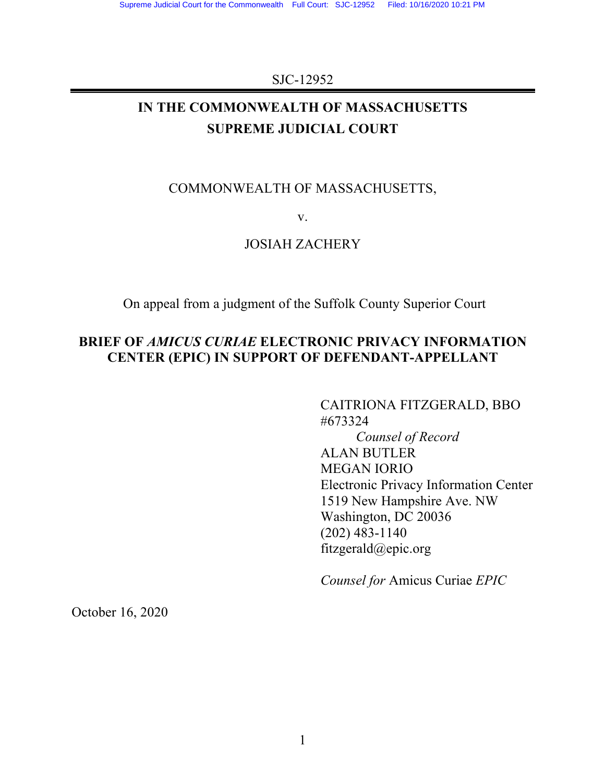### SJC-12952

## **IN THE COMMONWEALTH OF MASSACHUSETTS SUPREME JUDICIAL COURT**

## COMMONWEALTH OF MASSACHUSETTS,

v.

## JOSIAH ZACHERY

On appeal from a judgment of the Suffolk County Superior Court

## **BRIEF OF** *AMICUS CURIAE* **ELECTRONIC PRIVACY INFORMATION CENTER (EPIC) IN SUPPORT OF DEFENDANT-APPELLANT**

CAITRIONA FITZGERALD, BBO #673324 *Counsel of Record* ALAN BUTLER MEGAN IORIO Electronic Privacy Information Center 1519 New Hampshire Ave. NW Washington, DC 20036 (202) 483-1140 fitzgerald@epic.org

*Counsel for* Amicus Curiae *EPIC*

October 16, 2020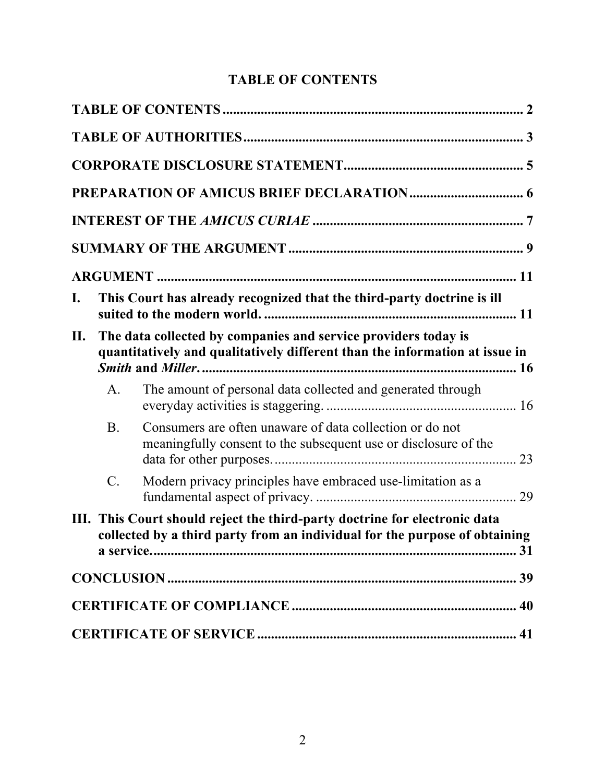# **TABLE OF CONTENTS**

| I.  |                | This Court has already recognized that the third-party doctrine is ill                                                                                   |  |
|-----|----------------|----------------------------------------------------------------------------------------------------------------------------------------------------------|--|
| II. |                | The data collected by companies and service providers today is<br>quantitatively and qualitatively different than the information at issue in            |  |
|     | A <sub>1</sub> | The amount of personal data collected and generated through                                                                                              |  |
|     | <b>B.</b>      | Consumers are often unaware of data collection or do not<br>meaningfully consent to the subsequent use or disclosure of the                              |  |
|     | C.             | Modern privacy principles have embraced use-limitation as a                                                                                              |  |
|     |                | III. This Court should reject the third-party doctrine for electronic data<br>collected by a third party from an individual for the purpose of obtaining |  |
|     |                |                                                                                                                                                          |  |
|     |                |                                                                                                                                                          |  |
|     |                |                                                                                                                                                          |  |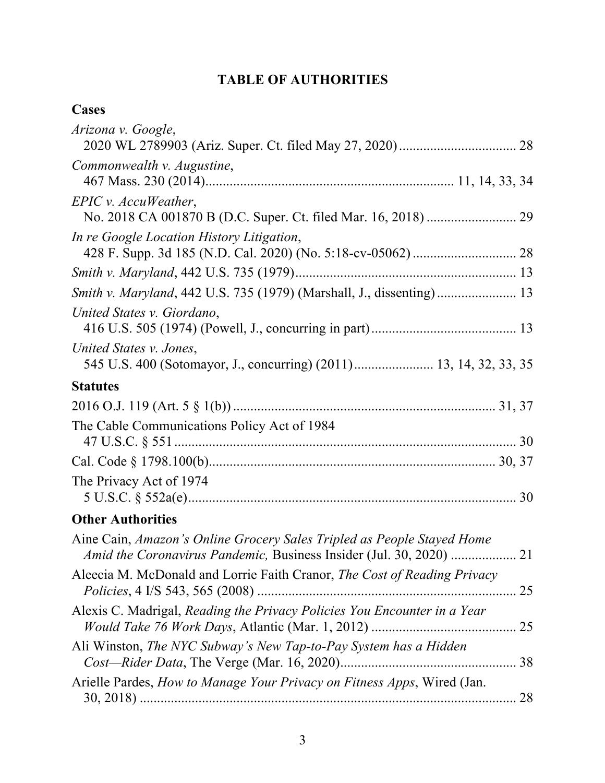# **TABLE OF AUTHORITIES**

## **Cases**

| Arizona v. Google,                                                                            |    |
|-----------------------------------------------------------------------------------------------|----|
| Commonwealth v. Augustine,                                                                    |    |
| $EPIC$ v. $AccuWeather$ ,                                                                     |    |
| In re Google Location History Litigation,                                                     |    |
|                                                                                               |    |
| Smith v. Maryland, 442 U.S. 735 (1979) (Marshall, J., dissenting) 13                          |    |
| United States v. Giordano,                                                                    |    |
| United States v. Jones,<br>545 U.S. 400 (Sotomayor, J., concurring) (2011) 13, 14, 32, 33, 35 |    |
| <b>Statutes</b>                                                                               |    |
|                                                                                               |    |
| The Cable Communications Policy Act of 1984                                                   |    |
|                                                                                               |    |
| The Privacy Act of 1974                                                                       |    |
| <b>Other Authorities</b>                                                                      |    |
| Aine Cain, Amazon's Online Grocery Sales Tripled as People Stayed Home                        |    |
| Aleecia M. McDonald and Lorrie Faith Cranor, The Cost of Reading Privacy                      | 25 |
| Alexis C. Madrigal, Reading the Privacy Policies You Encounter in a Year                      |    |
| Ali Winston, The NYC Subway's New Tap-to-Pay System has a Hidden                              | 38 |
| Arielle Pardes, How to Manage Your Privacy on Fitness Apps, Wired (Jan.                       |    |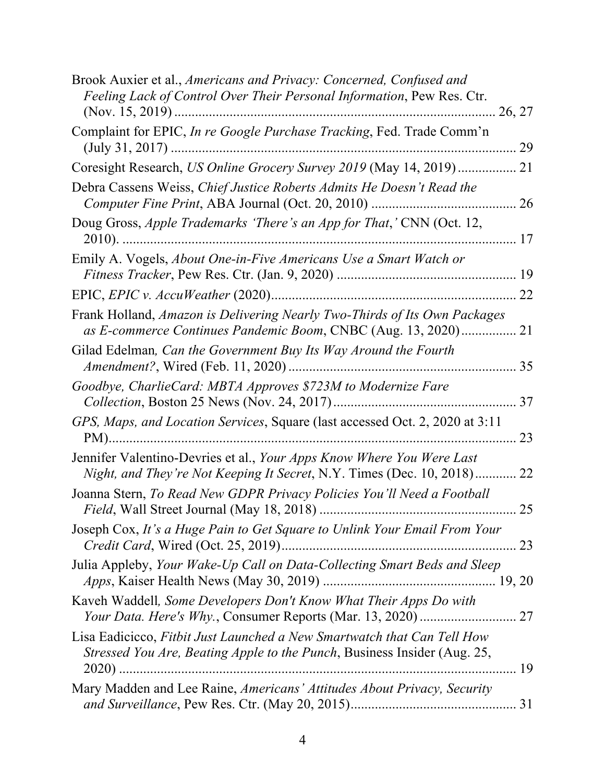| Brook Auxier et al., Americans and Privacy: Concerned, Confused and<br>Feeling Lack of Control Over Their Personal Information, Pew Res. Ctr.       |    |
|-----------------------------------------------------------------------------------------------------------------------------------------------------|----|
| Complaint for EPIC, In re Google Purchase Tracking, Fed. Trade Comm'n                                                                               |    |
| Coresight Research, US Online Grocery Survey 2019 (May 14, 2019)  21                                                                                |    |
| Debra Cassens Weiss, Chief Justice Roberts Admits He Doesn't Read the                                                                               |    |
| Doug Gross, Apple Trademarks 'There's an App for That,' CNN (Oct. 12,                                                                               |    |
| Emily A. Vogels, About One-in-Five Americans Use a Smart Watch or                                                                                   |    |
|                                                                                                                                                     |    |
| Frank Holland, Amazon is Delivering Nearly Two-Thirds of Its Own Packages<br>as E-commerce Continues Pandemic Boom, CNBC (Aug. 13, 2020) 21         |    |
| Gilad Edelman, Can the Government Buy Its Way Around the Fourth                                                                                     |    |
| Goodbye, CharlieCard: MBTA Approves \$723M to Modernize Fare                                                                                        |    |
| GPS, Maps, and Location Services, Square (last accessed Oct. 2, 2020 at 3:11                                                                        | 23 |
| Jennifer Valentino-Devries et al., Your Apps Know Where You Were Last<br>Night, and They're Not Keeping It Secret, N.Y. Times (Dec. 10, 2018) 22    |    |
| Joanna Stern, To Read New GDPR Privacy Policies You'll Need a Football                                                                              | 25 |
| Joseph Cox, It's a Huge Pain to Get Square to Unlink Your Email From Your                                                                           |    |
| Julia Appleby, Your Wake-Up Call on Data-Collecting Smart Beds and Sleep                                                                            |    |
| Kaveh Waddell, Some Developers Don't Know What Their Apps Do with                                                                                   |    |
| Lisa Eadicicco, Fithit Just Launched a New Smartwatch that Can Tell How<br>Stressed You Are, Beating Apple to the Punch, Business Insider (Aug. 25, |    |
| Mary Madden and Lee Raine, Americans' Attitudes About Privacy, Security                                                                             |    |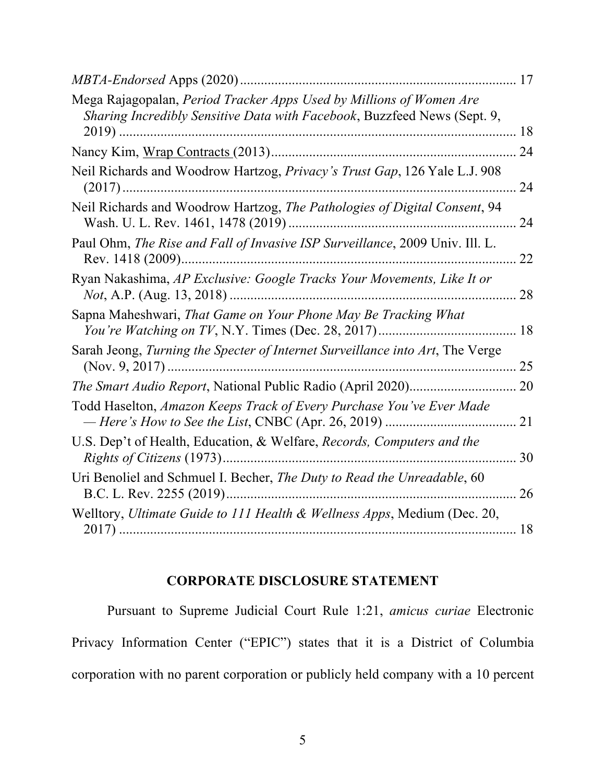| Mega Rajagopalan, Period Tracker Apps Used by Millions of Women Are<br>Sharing Incredibly Sensitive Data with Facebook, Buzzfeed News (Sept. 9, |    |
|-------------------------------------------------------------------------------------------------------------------------------------------------|----|
|                                                                                                                                                 |    |
| Neil Richards and Woodrow Hartzog, Privacy's Trust Gap, 126 Yale L.J. 908                                                                       | 24 |
| Neil Richards and Woodrow Hartzog, The Pathologies of Digital Consent, 94                                                                       | 24 |
| Paul Ohm, The Rise and Fall of Invasive ISP Surveillance, 2009 Univ. Ill. L.                                                                    | 22 |
| Ryan Nakashima, AP Exclusive: Google Tracks Your Movements, Like It or                                                                          | 28 |
| Sapna Maheshwari, That Game on Your Phone May Be Tracking What                                                                                  |    |
| Sarah Jeong, Turning the Specter of Internet Surveillance into Art, The Verge                                                                   | 25 |
|                                                                                                                                                 |    |
| Todd Haselton, Amazon Keeps Track of Every Purchase You've Ever Made                                                                            | 21 |
| U.S. Dep't of Health, Education, & Welfare, Records, Computers and the                                                                          | 30 |
| Uri Benoliel and Schmuel I. Becher, The Duty to Read the Unreadable, 60                                                                         | 26 |
| Welltory, Ultimate Guide to 111 Health & Wellness Apps, Medium (Dec. 20,                                                                        |    |

## **CORPORATE DISCLOSURE STATEMENT**

Pursuant to Supreme Judicial Court Rule 1:21, *amicus curiae* Electronic Privacy Information Center ("EPIC") states that it is a District of Columbia corporation with no parent corporation or publicly held company with a 10 percent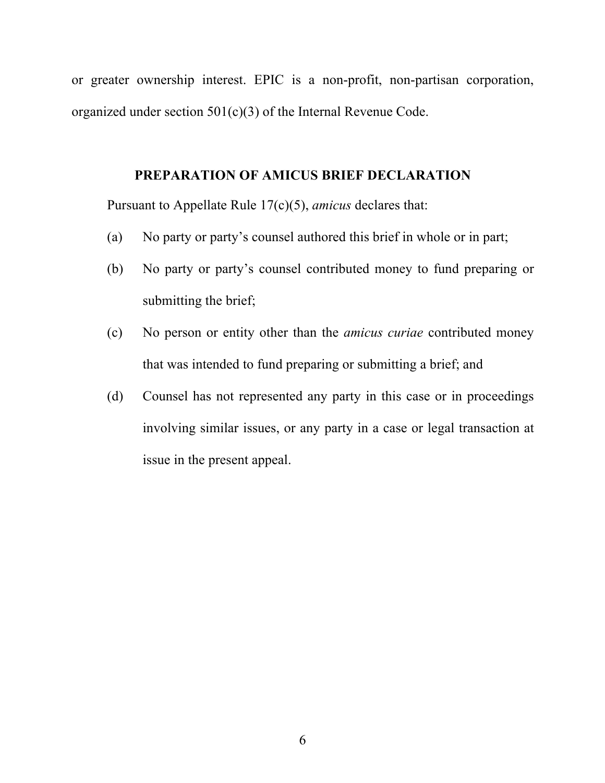or greater ownership interest. EPIC is a non-profit, non-partisan corporation, organized under section 501(c)(3) of the Internal Revenue Code.

### **PREPARATION OF AMICUS BRIEF DECLARATION**

Pursuant to Appellate Rule 17(c)(5), *amicus* declares that:

- (a) No party or party's counsel authored this brief in whole or in part;
- (b) No party or party's counsel contributed money to fund preparing or submitting the brief;
- (c) No person or entity other than the *amicus curiae* contributed money that was intended to fund preparing or submitting a brief; and
- (d) Counsel has not represented any party in this case or in proceedings involving similar issues, or any party in a case or legal transaction at issue in the present appeal.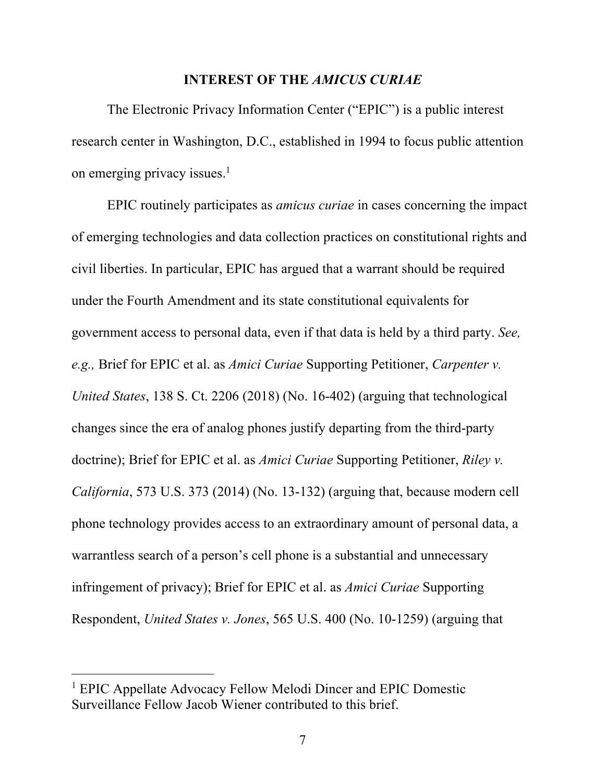#### **INTEREST OF THE** *AMICUS CURIAE*

The Electronic Privacy Information Center ("EPIC") is a public interest research center in Washington, D.C., established in 1994 to focus public attention on emerging privacy issues. 1

EPIC routinely participates as *amicus curiae* in cases concerning the impact of emerging technologies and data collection practices on constitutional rights and civil liberties. In particular, EPIC has argued that a warrant should be required under the Fourth Amendment and its state constitutional equivalents for government access to personal data, even if that data is held by a third party. *See, e.g.,* Brief for EPIC et al. as *Amici Curiae* Supporting Petitioner, *Carpenter v. United States*, 138 S. Ct. 2206 (2018) (No. 16-402) (arguing that technological changes since the era of analog phones justify departing from the third-party doctrine); Brief for EPIC et al. as *Amici Curiae* Supporting Petitioner, *Riley v. California*, 573 U.S. 373 (2014) (No. 13-132) (arguing that, because modern cell phone technology provides access to an extraordinary amount of personal data, a warrantless search of a person's cell phone is a substantial and unnecessary infringement of privacy); Brief for EPIC et al. as *Amici Curiae* Supporting Respondent, *United States v. Jones*, 565 U.S. 400 (No. 10-1259) (arguing that

<sup>1</sup> EPIC Appellate Advocacy Fellow Melodi Dincer and EPIC Domestic Surveillance Fellow Jacob Wiener contributed to this brief.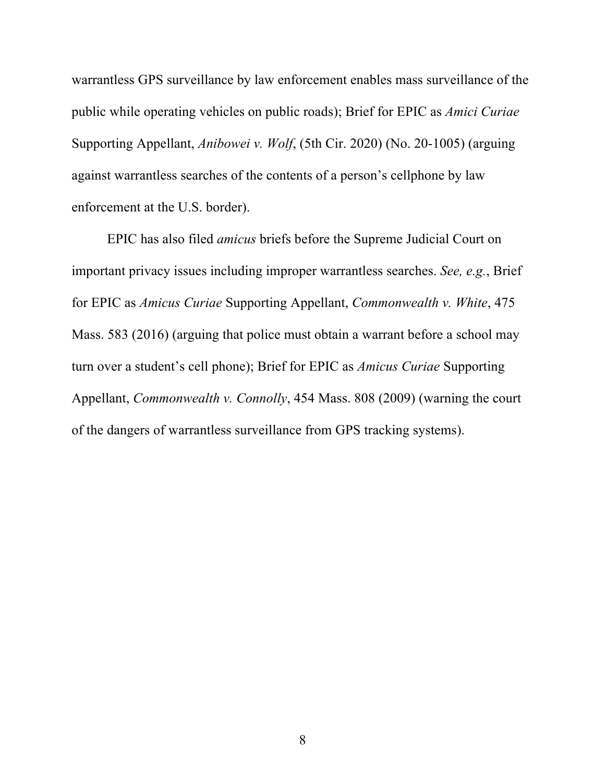warrantless GPS surveillance by law enforcement enables mass surveillance of the public while operating vehicles on public roads); Brief for EPIC as *Amici Curiae* Supporting Appellant, *Anibowei v. Wolf*, (5th Cir. 2020) (No. 20-1005) (arguing against warrantless searches of the contents of a person's cellphone by law enforcement at the U.S. border).

EPIC has also filed *amicus* briefs before the Supreme Judicial Court on important privacy issues including improper warrantless searches. *See, e.g.*, Brief for EPIC as *Amicus Curiae* Supporting Appellant, *Commonwealth v. White*, 475 Mass. 583 (2016) (arguing that police must obtain a warrant before a school may turn over a student's cell phone); Brief for EPIC as *Amicus Curiae* Supporting Appellant, *Commonwealth v. Connolly*, 454 Mass. 808 (2009) (warning the court of the dangers of warrantless surveillance from GPS tracking systems).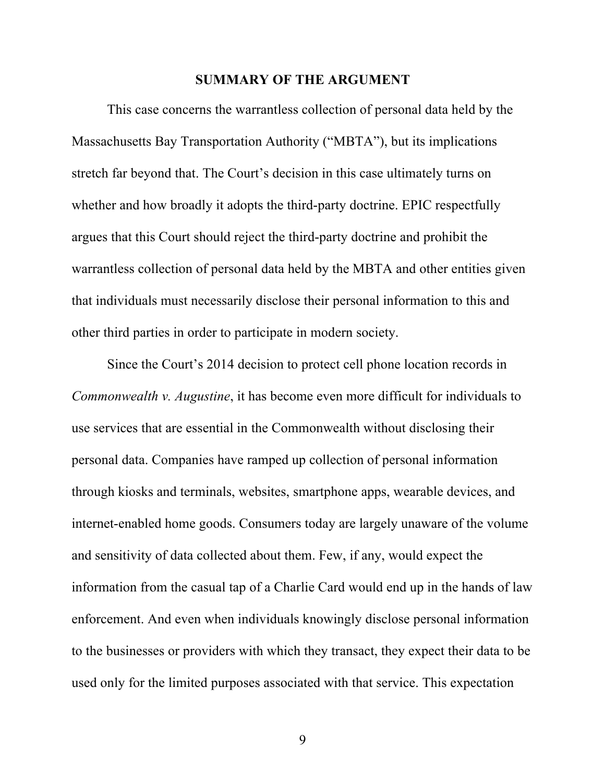#### **SUMMARY OF THE ARGUMENT**

This case concerns the warrantless collection of personal data held by the Massachusetts Bay Transportation Authority ("MBTA"), but its implications stretch far beyond that. The Court's decision in this case ultimately turns on whether and how broadly it adopts the third-party doctrine. EPIC respectfully argues that this Court should reject the third-party doctrine and prohibit the warrantless collection of personal data held by the MBTA and other entities given that individuals must necessarily disclose their personal information to this and other third parties in order to participate in modern society.

Since the Court's 2014 decision to protect cell phone location records in *Commonwealth v. Augustine*, it has become even more difficult for individuals to use services that are essential in the Commonwealth without disclosing their personal data. Companies have ramped up collection of personal information through kiosks and terminals, websites, smartphone apps, wearable devices, and internet-enabled home goods. Consumers today are largely unaware of the volume and sensitivity of data collected about them. Few, if any, would expect the information from the casual tap of a Charlie Card would end up in the hands of law enforcement. And even when individuals knowingly disclose personal information to the businesses or providers with which they transact, they expect their data to be used only for the limited purposes associated with that service. This expectation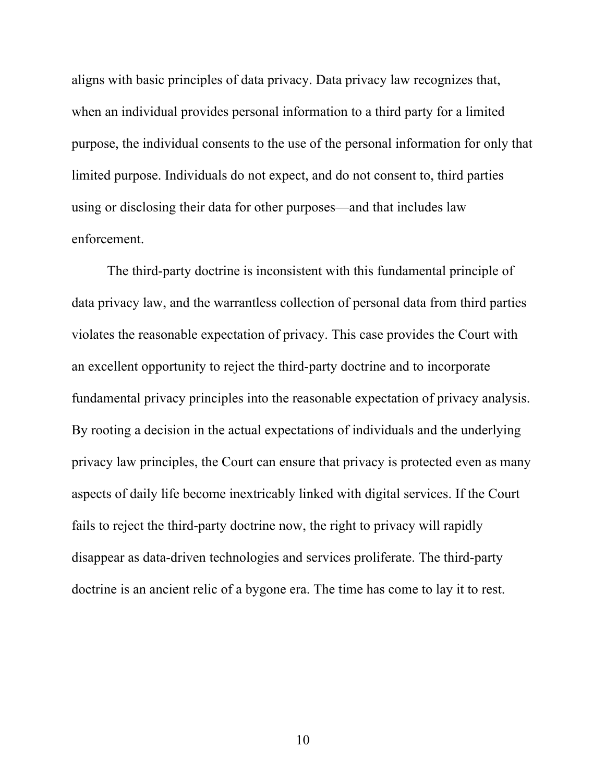aligns with basic principles of data privacy. Data privacy law recognizes that, when an individual provides personal information to a third party for a limited purpose, the individual consents to the use of the personal information for only that limited purpose. Individuals do not expect, and do not consent to, third parties using or disclosing their data for other purposes—and that includes law enforcement.

The third-party doctrine is inconsistent with this fundamental principle of data privacy law, and the warrantless collection of personal data from third parties violates the reasonable expectation of privacy. This case provides the Court with an excellent opportunity to reject the third-party doctrine and to incorporate fundamental privacy principles into the reasonable expectation of privacy analysis. By rooting a decision in the actual expectations of individuals and the underlying privacy law principles, the Court can ensure that privacy is protected even as many aspects of daily life become inextricably linked with digital services. If the Court fails to reject the third-party doctrine now, the right to privacy will rapidly disappear as data-driven technologies and services proliferate. The third-party doctrine is an ancient relic of a bygone era. The time has come to lay it to rest.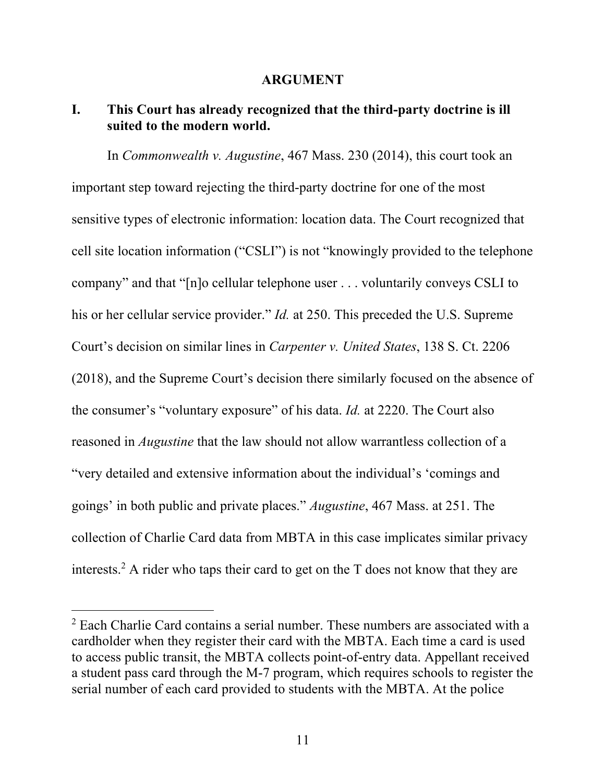#### **ARGUMENT**

## **I. This Court has already recognized that the third-party doctrine is ill suited to the modern world.**

In *Commonwealth v. Augustine*, 467 Mass. 230 (2014), this court took an important step toward rejecting the third-party doctrine for one of the most sensitive types of electronic information: location data. The Court recognized that cell site location information ("CSLI") is not "knowingly provided to the telephone company" and that "[n]o cellular telephone user . . . voluntarily conveys CSLI to his or her cellular service provider." *Id.* at 250. This preceded the U.S. Supreme Court's decision on similar lines in *Carpenter v. United States*, 138 S. Ct. 2206 (2018), and the Supreme Court's decision there similarly focused on the absence of the consumer's "voluntary exposure" of his data. *Id.* at 2220. The Court also reasoned in *Augustine* that the law should not allow warrantless collection of a "very detailed and extensive information about the individual's 'comings and goings' in both public and private places." *Augustine*, 467 Mass. at 251. The collection of Charlie Card data from MBTA in this case implicates similar privacy interests. <sup>2</sup> A rider who taps their card to get on the T does not know that they are

 $2$  Each Charlie Card contains a serial number. These numbers are associated with a cardholder when they register their card with the MBTA. Each time a card is used to access public transit, the MBTA collects point-of-entry data. Appellant received a student pass card through the M-7 program, which requires schools to register the serial number of each card provided to students with the MBTA. At the police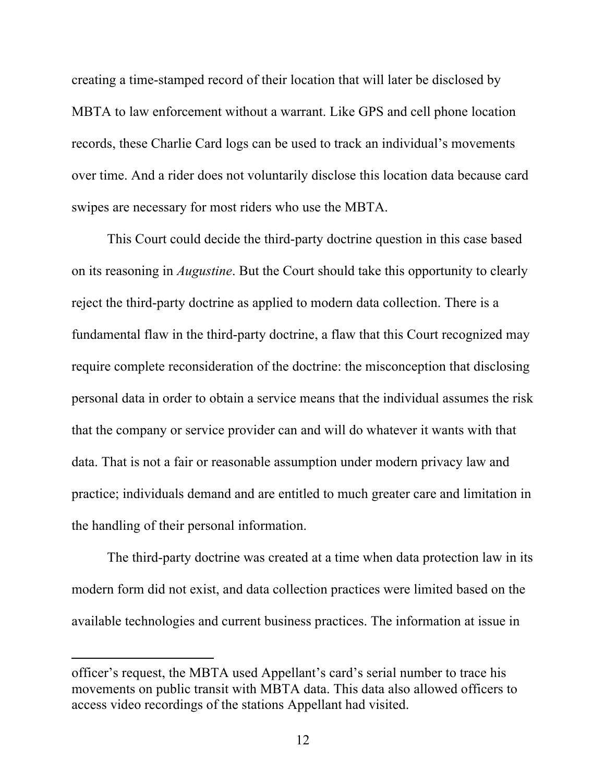creating a time-stamped record of their location that will later be disclosed by MBTA to law enforcement without a warrant. Like GPS and cell phone location records, these Charlie Card logs can be used to track an individual's movements over time. And a rider does not voluntarily disclose this location data because card swipes are necessary for most riders who use the MBTA.

This Court could decide the third-party doctrine question in this case based on its reasoning in *Augustine*. But the Court should take this opportunity to clearly reject the third-party doctrine as applied to modern data collection. There is a fundamental flaw in the third-party doctrine, a flaw that this Court recognized may require complete reconsideration of the doctrine: the misconception that disclosing personal data in order to obtain a service means that the individual assumes the risk that the company or service provider can and will do whatever it wants with that data. That is not a fair or reasonable assumption under modern privacy law and practice; individuals demand and are entitled to much greater care and limitation in the handling of their personal information.

The third-party doctrine was created at a time when data protection law in its modern form did not exist, and data collection practices were limited based on the available technologies and current business practices. The information at issue in

officer's request, the MBTA used Appellant's card's serial number to trace his movements on public transit with MBTA data. This data also allowed officers to access video recordings of the stations Appellant had visited.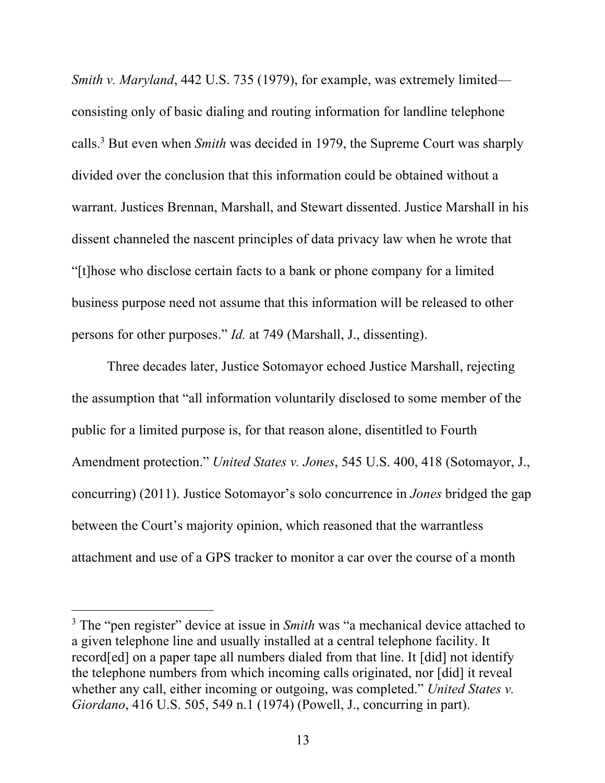*Smith v. Maryland*, 442 U.S. 735 (1979), for example, was extremely limited consisting only of basic dialing and routing information for landline telephone calls. <sup>3</sup> But even when *Smith* was decided in 1979, the Supreme Court was sharply divided over the conclusion that this information could be obtained without a warrant. Justices Brennan, Marshall, and Stewart dissented. Justice Marshall in his dissent channeled the nascent principles of data privacy law when he wrote that "[t]hose who disclose certain facts to a bank or phone company for a limited business purpose need not assume that this information will be released to other persons for other purposes." *Id.* at 749 (Marshall, J., dissenting).

Three decades later, Justice Sotomayor echoed Justice Marshall, rejecting the assumption that "all information voluntarily disclosed to some member of the public for a limited purpose is, for that reason alone, disentitled to Fourth Amendment protection." *United States v. Jones*, 545 U.S. 400, 418 (Sotomayor, J., concurring) (2011). Justice Sotomayor's solo concurrence in *Jones* bridged the gap between the Court's majority opinion, which reasoned that the warrantless attachment and use of a GPS tracker to monitor a car over the course of a month

<sup>3</sup> The "pen register" device at issue in *Smith* was "a mechanical device attached to a given telephone line and usually installed at a central telephone facility. It record[ed] on a paper tape all numbers dialed from that line. It [did] not identify the telephone numbers from which incoming calls originated, nor [did] it reveal whether any call, either incoming or outgoing, was completed." *United States v. Giordano*, 416 U.S. 505, 549 n.1 (1974) (Powell, J., concurring in part).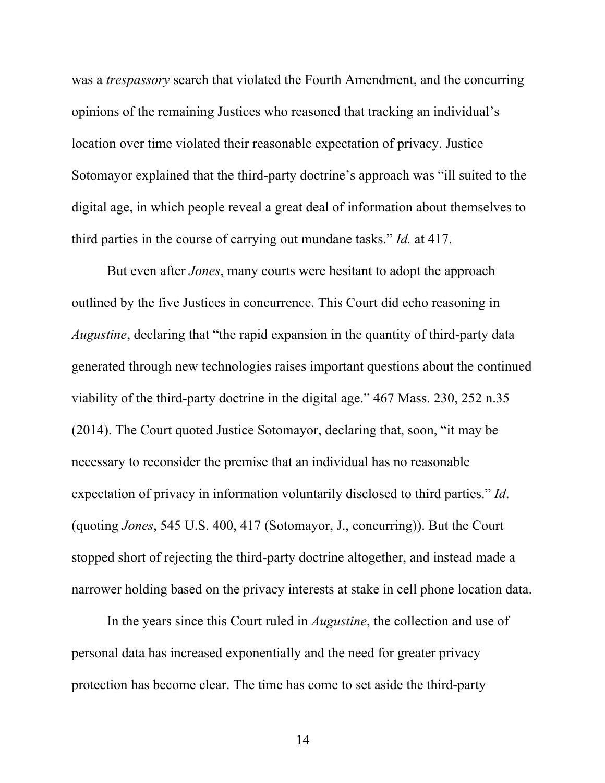was a *trespassory* search that violated the Fourth Amendment, and the concurring opinions of the remaining Justices who reasoned that tracking an individual's location over time violated their reasonable expectation of privacy. Justice Sotomayor explained that the third-party doctrine's approach was "ill suited to the digital age, in which people reveal a great deal of information about themselves to third parties in the course of carrying out mundane tasks." *Id.* at 417.

But even after *Jones*, many courts were hesitant to adopt the approach outlined by the five Justices in concurrence. This Court did echo reasoning in *Augustine*, declaring that "the rapid expansion in the quantity of third-party data generated through new technologies raises important questions about the continued viability of the third-party doctrine in the digital age." 467 Mass. 230, 252 n.35 (2014). The Court quoted Justice Sotomayor, declaring that, soon, "it may be necessary to reconsider the premise that an individual has no reasonable expectation of privacy in information voluntarily disclosed to third parties." *Id*. (quoting *Jones*, 545 U.S. 400, 417 (Sotomayor, J., concurring)). But the Court stopped short of rejecting the third-party doctrine altogether, and instead made a narrower holding based on the privacy interests at stake in cell phone location data.

In the years since this Court ruled in *Augustine*, the collection and use of personal data has increased exponentially and the need for greater privacy protection has become clear. The time has come to set aside the third-party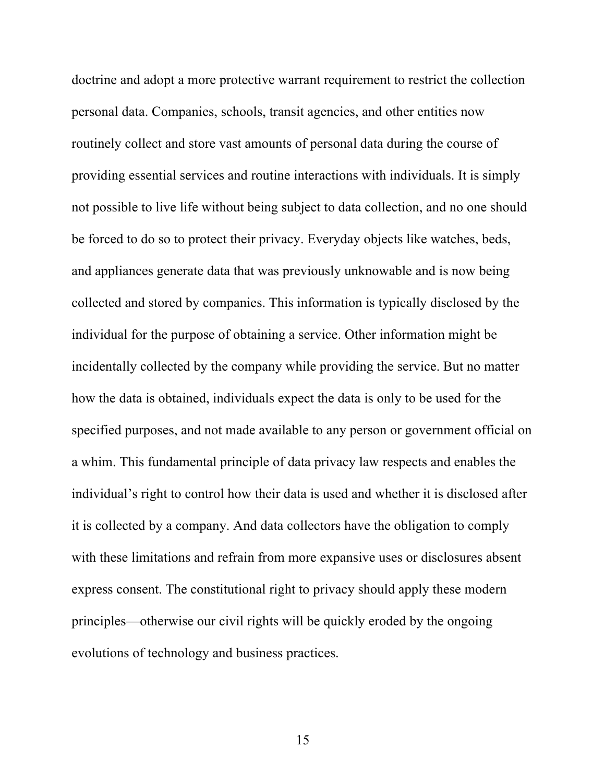doctrine and adopt a more protective warrant requirement to restrict the collection personal data. Companies, schools, transit agencies, and other entities now routinely collect and store vast amounts of personal data during the course of providing essential services and routine interactions with individuals. It is simply not possible to live life without being subject to data collection, and no one should be forced to do so to protect their privacy. Everyday objects like watches, beds, and appliances generate data that was previously unknowable and is now being collected and stored by companies. This information is typically disclosed by the individual for the purpose of obtaining a service. Other information might be incidentally collected by the company while providing the service. But no matter how the data is obtained, individuals expect the data is only to be used for the specified purposes, and not made available to any person or government official on a whim. This fundamental principle of data privacy law respects and enables the individual's right to control how their data is used and whether it is disclosed after it is collected by a company. And data collectors have the obligation to comply with these limitations and refrain from more expansive uses or disclosures absent express consent. The constitutional right to privacy should apply these modern principles—otherwise our civil rights will be quickly eroded by the ongoing evolutions of technology and business practices.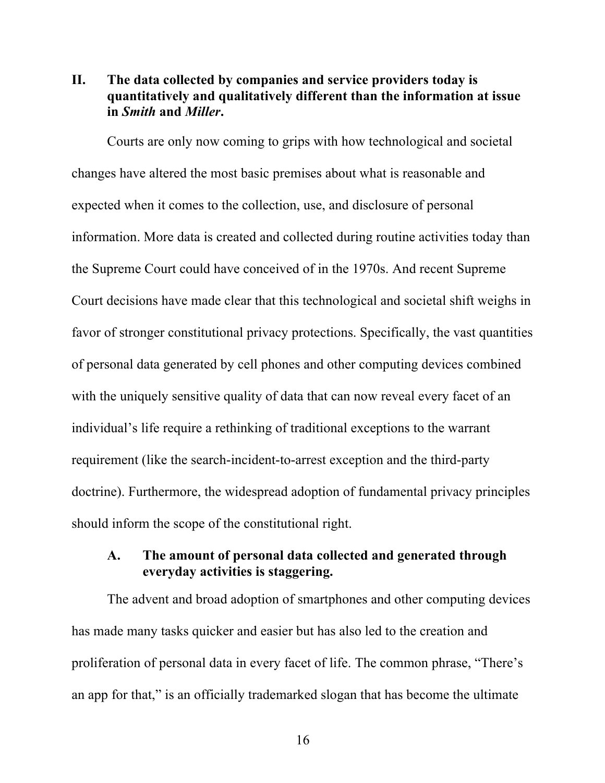## **II. The data collected by companies and service providers today is quantitatively and qualitatively different than the information at issue in** *Smith* **and** *Miller***.**

Courts are only now coming to grips with how technological and societal changes have altered the most basic premises about what is reasonable and expected when it comes to the collection, use, and disclosure of personal information. More data is created and collected during routine activities today than the Supreme Court could have conceived of in the 1970s. And recent Supreme Court decisions have made clear that this technological and societal shift weighs in favor of stronger constitutional privacy protections. Specifically, the vast quantities of personal data generated by cell phones and other computing devices combined with the uniquely sensitive quality of data that can now reveal every facet of an individual's life require a rethinking of traditional exceptions to the warrant requirement (like the search-incident-to-arrest exception and the third-party doctrine). Furthermore, the widespread adoption of fundamental privacy principles should inform the scope of the constitutional right.

## **A. The amount of personal data collected and generated through everyday activities is staggering.**

The advent and broad adoption of smartphones and other computing devices has made many tasks quicker and easier but has also led to the creation and proliferation of personal data in every facet of life. The common phrase, "There's an app for that," is an officially trademarked slogan that has become the ultimate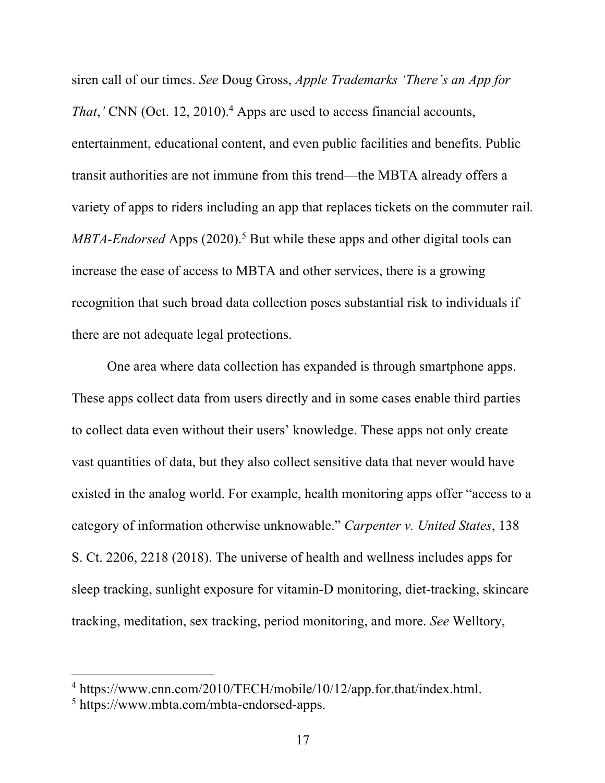siren call of our times. *See* Doug Gross, *Apple Trademarks 'There's an App for That*,<sup>*'*</sup> CNN (Oct. 12, 2010).<sup>4</sup> Apps are used to access financial accounts, entertainment, educational content, and even public facilities and benefits. Public transit authorities are not immune from this trend—the MBTA already offers a variety of apps to riders including an app that replaces tickets on the commuter rail*. MBTA-Endorsed* Apps (2020). <sup>5</sup> But while these apps and other digital tools can increase the ease of access to MBTA and other services, there is a growing recognition that such broad data collection poses substantial risk to individuals if there are not adequate legal protections.

One area where data collection has expanded is through smartphone apps. These apps collect data from users directly and in some cases enable third parties to collect data even without their users' knowledge. These apps not only create vast quantities of data, but they also collect sensitive data that never would have existed in the analog world. For example, health monitoring apps offer "access to a category of information otherwise unknowable." *Carpenter v. United States*, 138 S. Ct. 2206, 2218 (2018). The universe of health and wellness includes apps for sleep tracking, sunlight exposure for vitamin-D monitoring, diet-tracking, skincare tracking, meditation, sex tracking, period monitoring, and more. *See* Welltory,

<sup>&</sup>lt;sup>4</sup> https://www.cnn.com/2010/TECH/mobile/10/12/app.for.that/index.html.<br><sup>5</sup> https://www.mbta.com/mbta-endorsed-apps.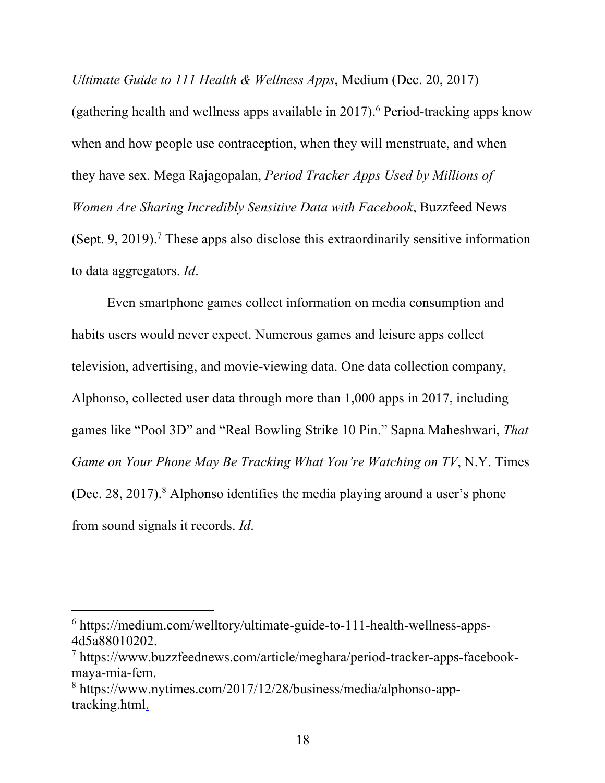*Ultimate Guide to 111 Health & Wellness Apps*, Medium (Dec. 20, 2017)

(gathering health and wellness apps available in 2017). <sup>6</sup> Period-tracking apps know when and how people use contraception, when they will menstruate, and when they have sex. Mega Rajagopalan, *Period Tracker Apps Used by Millions of Women Are Sharing Incredibly Sensitive Data with Facebook*, Buzzfeed News (Sept. 9, 2019). <sup>7</sup> These apps also disclose this extraordinarily sensitive information to data aggregators. *Id*.

Even smartphone games collect information on media consumption and habits users would never expect. Numerous games and leisure apps collect television, advertising, and movie-viewing data. One data collection company, Alphonso, collected user data through more than 1,000 apps in 2017, including games like "Pool 3D" and "Real Bowling Strike 10 Pin." Sapna Maheshwari, *That Game on Your Phone May Be Tracking What You're Watching on TV*, N.Y. Times (Dec. 28, 2017). <sup>8</sup> Alphonso identifies the media playing around a user's phone from sound signals it records. *Id*.

 $6$  https://medium.com/welltory/ultimate-guide-to-111-health-wellness-apps-4d5a88010202.

<sup>7</sup> https://www.buzzfeednews.com/article/meghara/period-tracker-apps-facebookmaya-mia-fem.

<sup>8</sup> https://www.nytimes.com/2017/12/28/business/media/alphonso-apptracking.html.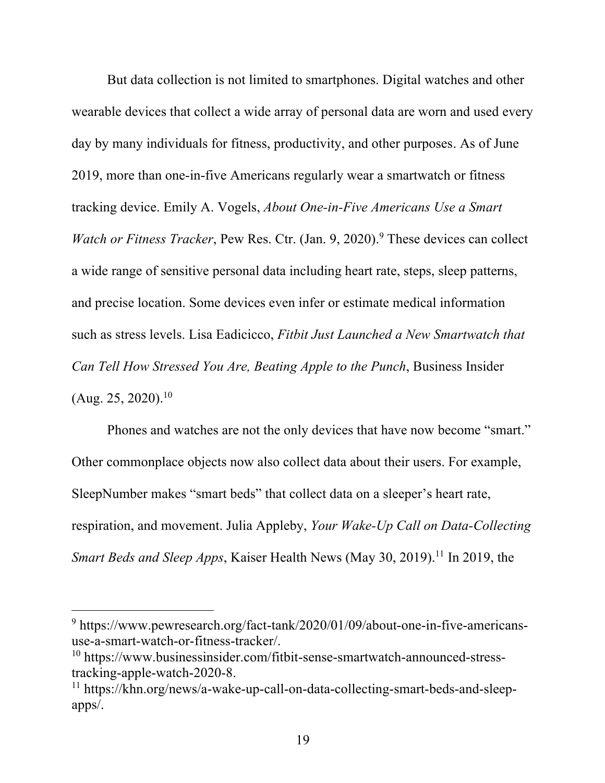But data collection is not limited to smartphones. Digital watches and other wearable devices that collect a wide array of personal data are worn and used every day by many individuals for fitness, productivity, and other purposes. As of June 2019, more than one-in-five Americans regularly wear a smartwatch or fitness tracking device. Emily A. Vogels, *About One-in-Five Americans Use a Smart Watch or Fitness Tracker*, Pew Res. Ctr. (Jan. 9, 2020).<sup>9</sup> These devices can collect a wide range of sensitive personal data including heart rate, steps, sleep patterns, and precise location. Some devices even infer or estimate medical information such as stress levels. Lisa Eadicicco, *Fitbit Just Launched a New Smartwatch that Can Tell How Stressed You Are, Beating Apple to the Punch*, Business Insider  $(Aug. 25, 2020).<sup>10</sup>$ 

Phones and watches are not the only devices that have now become "smart." Other commonplace objects now also collect data about their users. For example, SleepNumber makes "smart beds" that collect data on a sleeper's heart rate, respiration, and movement. Julia Appleby, *Your Wake-Up Call on Data-Collecting Smart Beds and Sleep Apps*, Kaiser Health News (May 30, 2019). <sup>11</sup> In 2019, the

<sup>9</sup> https://www.pewresearch.org/fact-tank/2020/01/09/about-one-in-five-americansuse-a-smart-watch-or-fitness-tracker/.<br><sup>10</sup> https://www.businessinsider.com/fitbit-sense-smartwatch-announced-stress-

tracking-apple-watch-2020-8.

<sup>11</sup> https://khn.org/news/a-wake-up-call-on-data-collecting-smart-beds-and-sleepapps/.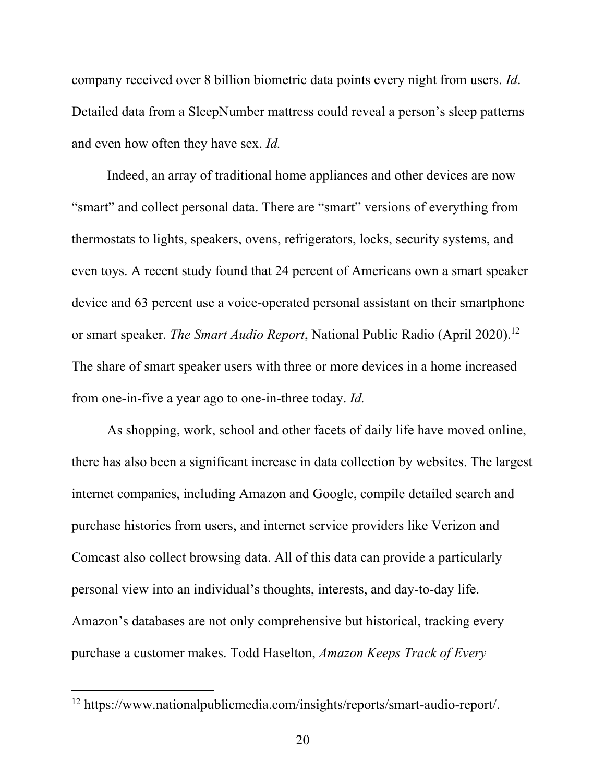company received over 8 billion biometric data points every night from users. *Id*. Detailed data from a SleepNumber mattress could reveal a person's sleep patterns and even how often they have sex. *Id.*

Indeed, an array of traditional home appliances and other devices are now "smart" and collect personal data. There are "smart" versions of everything from thermostats to lights, speakers, ovens, refrigerators, locks, security systems, and even toys. A recent study found that 24 percent of Americans own a smart speaker device and 63 percent use a voice-operated personal assistant on their smartphone or smart speaker. *The Smart Audio Report*, National Public Radio (April 2020). 12 The share of smart speaker users with three or more devices in a home increased from one-in-five a year ago to one-in-three today. *Id.*

As shopping, work, school and other facets of daily life have moved online, there has also been a significant increase in data collection by websites. The largest internet companies, including Amazon and Google, compile detailed search and purchase histories from users, and internet service providers like Verizon and Comcast also collect browsing data. All of this data can provide a particularly personal view into an individual's thoughts, interests, and day-to-day life. Amazon's databases are not only comprehensive but historical, tracking every purchase a customer makes. Todd Haselton, *Amazon Keeps Track of Every* 

<sup>12</sup> https://www.nationalpublicmedia.com/insights/reports/smart-audio-report/.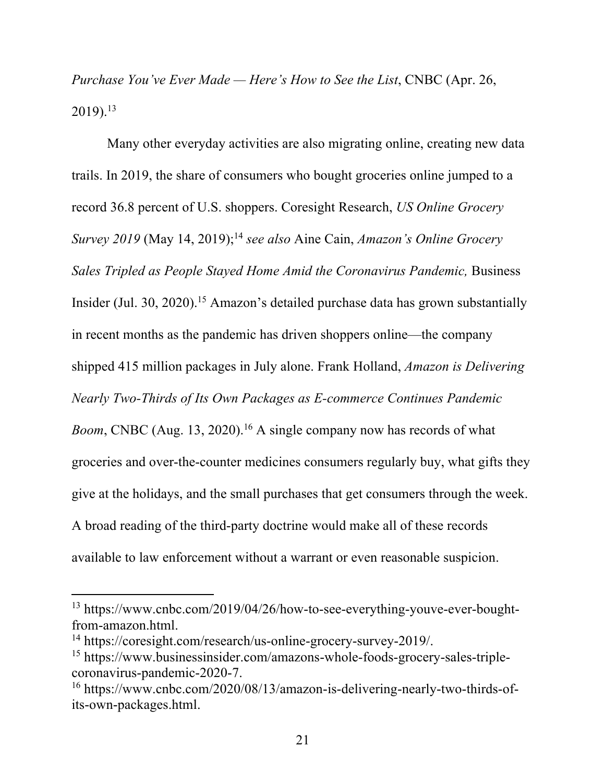*Purchase You've Ever Made — Here's How to See the List*, CNBC (Apr. 26,  $2019$ ).<sup>13</sup>

Many other everyday activities are also migrating online, creating new data trails. In 2019, the share of consumers who bought groceries online jumped to a record 36.8 percent of U.S. shoppers. Coresight Research, *US Online Grocery Survey 2019* (May 14, 2019); <sup>14</sup> *see also* Aine Cain, *Amazon's Online Grocery Sales Tripled as People Stayed Home Amid the Coronavirus Pandemic,* Business Insider (Jul. 30, 2020). <sup>15</sup> Amazon's detailed purchase data has grown substantially in recent months as the pandemic has driven shoppers online—the company shipped 415 million packages in July alone. Frank Holland, *Amazon is Delivering Nearly Two-Thirds of Its Own Packages as E-commerce Continues Pandemic*  Boom, CNBC (Aug. 13, 2020).<sup>16</sup> A single company now has records of what groceries and over-the-counter medicines consumers regularly buy, what gifts they give at the holidays, and the small purchases that get consumers through the week. A broad reading of the third-party doctrine would make all of these records available to law enforcement without a warrant or even reasonable suspicion.

<sup>&</sup>lt;sup>13</sup> https://www.cnbc.com/2019/04/26/how-to-see-everything-youve-ever-boughtfrom-amazon.html. 14 https://coresight.com/research/us-online-grocery-survey-2019/.

<sup>15</sup> https://www.businessinsider.com/amazons-whole-foods-grocery-sales-triplecoronavirus-pandemic-2020-7.<br><sup>16</sup> https://www.cnbc.com/2020/08/13/amazon-is-delivering-nearly-two-thirds-of-

its-own-packages.html.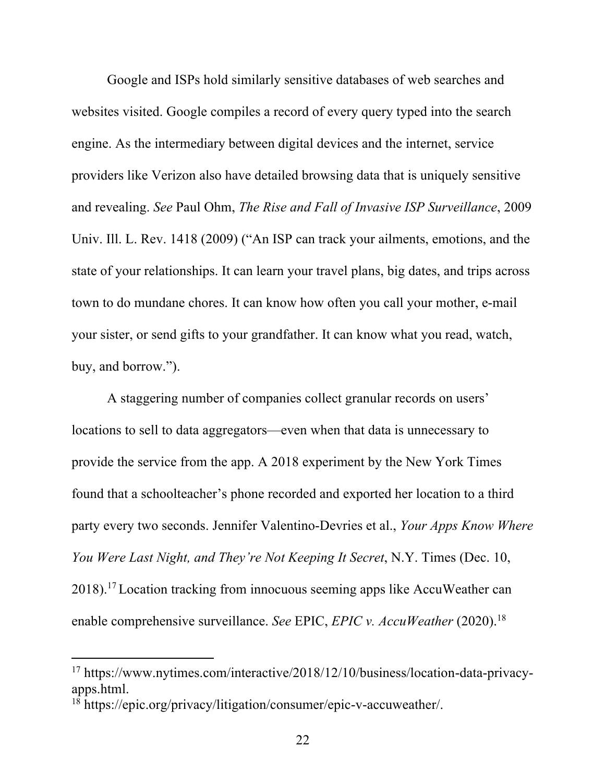Google and ISPs hold similarly sensitive databases of web searches and websites visited. Google compiles a record of every query typed into the search engine. As the intermediary between digital devices and the internet, service providers like Verizon also have detailed browsing data that is uniquely sensitive and revealing. *See* Paul Ohm, *The Rise and Fall of Invasive ISP Surveillance*, 2009 Univ. Ill. L. Rev. 1418 (2009) ("An ISP can track your ailments, emotions, and the state of your relationships. It can learn your travel plans, big dates, and trips across town to do mundane chores. It can know how often you call your mother, e-mail your sister, or send gifts to your grandfather. It can know what you read, watch, buy, and borrow.").

A staggering number of companies collect granular records on users' locations to sell to data aggregators—even when that data is unnecessary to provide the service from the app. A 2018 experiment by the New York Times found that a schoolteacher's phone recorded and exported her location to a third party every two seconds. Jennifer Valentino-Devries et al., *Your Apps Know Where You Were Last Night, and They're Not Keeping It Secret*, N.Y. Times (Dec. 10, 2018). <sup>17</sup> Location tracking from innocuous seeming apps like AccuWeather can enable comprehensive surveillance. *See* EPIC, *EPIC v. AccuWeather* (2020). 18

<sup>17</sup> https://www.nytimes.com/interactive/2018/12/10/business/location-data-privacyapps.html.

<sup>18</sup> https://epic.org/privacy/litigation/consumer/epic-v-accuweather/.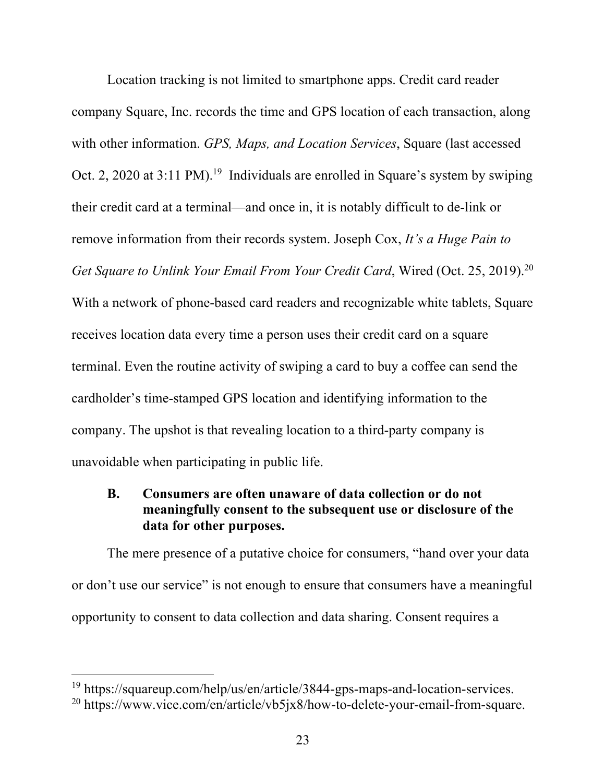Location tracking is not limited to smartphone apps. Credit card reader company Square, Inc. records the time and GPS location of each transaction, along with other information. *GPS, Maps, and Location Services*, Square (last accessed Oct. 2, 2020 at 3:11 PM).<sup>19</sup> Individuals are enrolled in Square's system by swiping their credit card at a terminal—and once in, it is notably difficult to de-link or remove information from their records system. Joseph Cox, *It's a Huge Pain to Get Square to Unlink Your Email From Your Credit Card*, Wired (Oct. 25, 2019). 20 With a network of phone-based card readers and recognizable white tablets, Square receives location data every time a person uses their credit card on a square terminal. Even the routine activity of swiping a card to buy a coffee can send the cardholder's time-stamped GPS location and identifying information to the company. The upshot is that revealing location to a third-party company is unavoidable when participating in public life.

## **B. Consumers are often unaware of data collection or do not meaningfully consent to the subsequent use or disclosure of the data for other purposes.**

The mere presence of a putative choice for consumers, "hand over your data or don't use our service" is not enough to ensure that consumers have a meaningful opportunity to consent to data collection and data sharing. Consent requires a

<sup>19</sup> https://squareup.com/help/us/en/article/3844-gps-maps-and-location-services.

<sup>&</sup>lt;sup>20</sup> https://www.vice.com/en/article/vb5jx8/how-to-delete-your-email-from-square.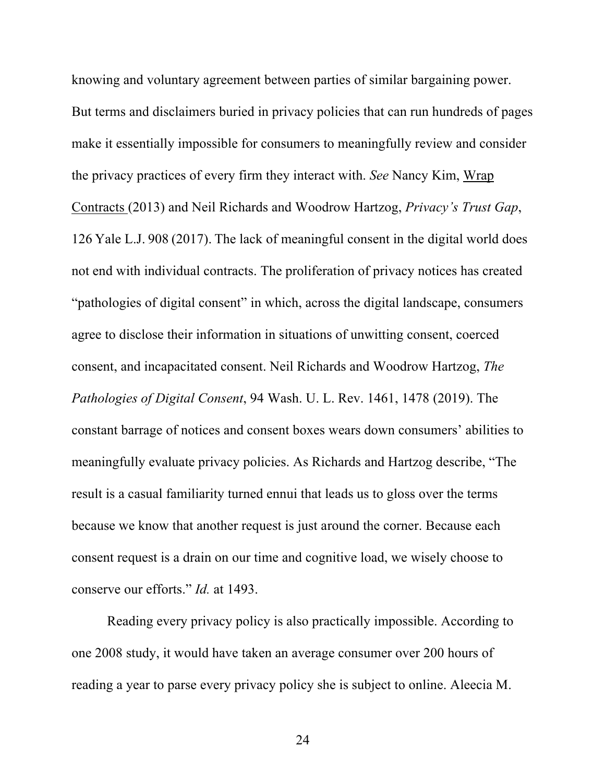knowing and voluntary agreement between parties of similar bargaining power. But terms and disclaimers buried in privacy policies that can run hundreds of pages make it essentially impossible for consumers to meaningfully review and consider the privacy practices of every firm they interact with. *See* Nancy Kim, Wrap Contracts (2013) and Neil Richards and Woodrow Hartzog, *Privacy's Trust Gap*, 126 Yale L.J. 908 (2017). The lack of meaningful consent in the digital world does not end with individual contracts. The proliferation of privacy notices has created "pathologies of digital consent" in which, across the digital landscape, consumers agree to disclose their information in situations of unwitting consent, coerced consent, and incapacitated consent. Neil Richards and Woodrow Hartzog, *The Pathologies of Digital Consent*, 94 Wash. U. L. Rev. 1461, 1478 (2019). The constant barrage of notices and consent boxes wears down consumers' abilities to meaningfully evaluate privacy policies. As Richards and Hartzog describe, "The result is a casual familiarity turned ennui that leads us to gloss over the terms because we know that another request is just around the corner. Because each consent request is a drain on our time and cognitive load, we wisely choose to conserve our efforts." *Id.* at 1493.

Reading every privacy policy is also practically impossible. According to one 2008 study, it would have taken an average consumer over 200 hours of reading a year to parse every privacy policy she is subject to online. Aleecia M.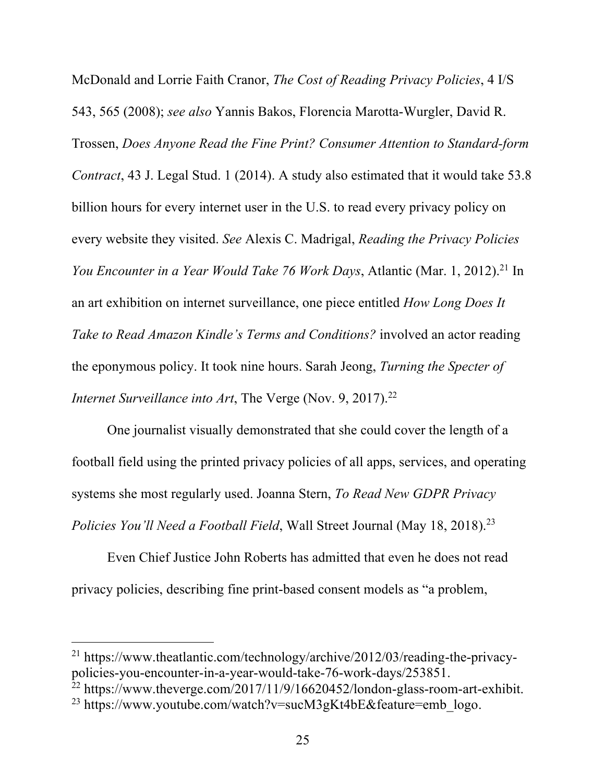McDonald and Lorrie Faith Cranor, *The Cost of Reading Privacy Policies*, 4 I/S 543, 565 (2008); *see also* Yannis Bakos, Florencia Marotta-Wurgler, David R. Trossen, *Does Anyone Read the Fine Print? Consumer Attention to Standard-form Contract*, 43 J. Legal Stud. 1 (2014). A study also estimated that it would take 53.8 billion hours for every internet user in the U.S. to read every privacy policy on every website they visited. *See* Alexis C. Madrigal, *Reading the Privacy Policies You Encounter in a Year Would Take 76 Work Days*, Atlantic (Mar. 1, 2012). <sup>21</sup> In an art exhibition on internet surveillance, one piece entitled *How Long Does It Take to Read Amazon Kindle's Terms and Conditions?* involved an actor reading the eponymous policy. It took nine hours. Sarah Jeong, *Turning the Specter of Internet Surveillance into Art*, The Verge (Nov. 9, 2017).<sup>22</sup>

One journalist visually demonstrated that she could cover the length of a football field using the printed privacy policies of all apps, services, and operating systems she most regularly used. Joanna Stern, *To Read New GDPR Privacy Policies You'll Need a Football Field*, Wall Street Journal (May 18, 2018). 23

Even Chief Justice John Roberts has admitted that even he does not read privacy policies, describing fine print-based consent models as "a problem,

<sup>21</sup> https://www.theatlantic.com/technology/archive/2012/03/reading-the-privacypolicies-you-encounter-in-a-year-would-take-76-work-days/253851.<br><sup>22</sup> https://www.theverge.com/2017/11/9/16620452/london-glass-room-art-exhibit.<br><sup>23</sup> https://www.youtube.com/watch?v=sucM3gKt4bE&feature=emb\_logo.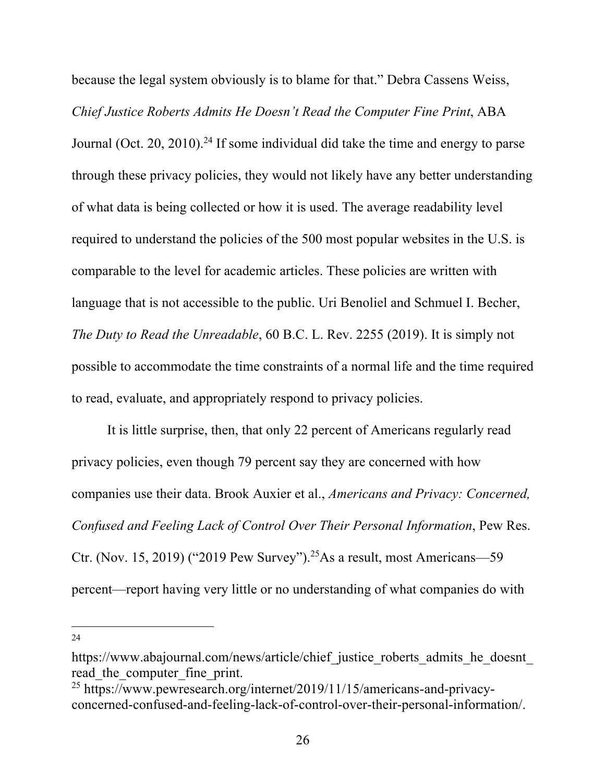because the legal system obviously is to blame for that." Debra Cassens Weiss, *Chief Justice Roberts Admits He Doesn't Read the Computer Fine Print*, ABA Journal (Oct. 20, 2010).<sup>24</sup> If some individual did take the time and energy to parse through these privacy policies, they would not likely have any better understanding of what data is being collected or how it is used. The average readability level required to understand the policies of the 500 most popular websites in the U.S. is comparable to the level for academic articles. These policies are written with language that is not accessible to the public. Uri Benoliel and Schmuel I. Becher, *The Duty to Read the Unreadable*, 60 B.C. L. Rev. 2255 (2019). It is simply not possible to accommodate the time constraints of a normal life and the time required to read, evaluate, and appropriately respond to privacy policies.

It is little surprise, then, that only 22 percent of Americans regularly read privacy policies, even though 79 percent say they are concerned with how companies use their data. Brook Auxier et al., *Americans and Privacy: Concerned, Confused and Feeling Lack of Control Over Their Personal Information*, Pew Res. Ctr. (Nov. 15, 2019) ("2019 Pew Survey").<sup>25</sup>As a result, most Americans—59 percent—report having very little or no understanding of what companies do with

https://www.abajournal.com/news/article/chief\_justice\_roberts\_admits\_he\_doesnt read\_the\_computer\_fine\_print. 25 https://www.pewresearch.org/internet/2019/11/15/americans-and-privacy-

concerned-confused-and-feeling-lack-of-control-over-their-personal-information/.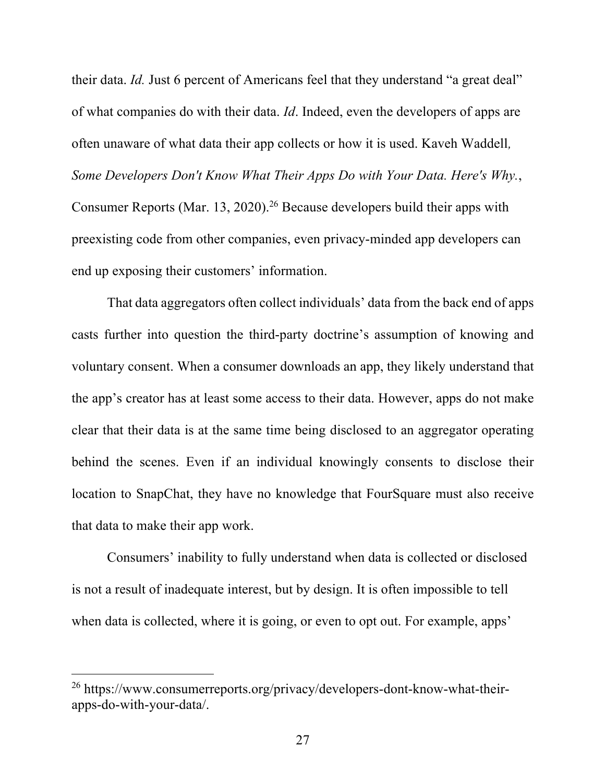their data. *Id.* Just 6 percent of Americans feel that they understand "a great deal" of what companies do with their data. *Id*. Indeed, even the developers of apps are often unaware of what data their app collects or how it is used. Kaveh Waddell*, Some Developers Don't Know What Their Apps Do with Your Data. Here's Why.*, Consumer Reports (Mar. 13, 2020). <sup>26</sup> Because developers build their apps with preexisting code from other companies, even privacy-minded app developers can end up exposing their customers' information.

That data aggregators often collect individuals' data from the back end of apps casts further into question the third-party doctrine's assumption of knowing and voluntary consent. When a consumer downloads an app, they likely understand that the app's creator has at least some access to their data. However, apps do not make clear that their data is at the same time being disclosed to an aggregator operating behind the scenes. Even if an individual knowingly consents to disclose their location to SnapChat, they have no knowledge that FourSquare must also receive that data to make their app work.

Consumers' inability to fully understand when data is collected or disclosed is not a result of inadequate interest, but by design. It is often impossible to tell when data is collected, where it is going, or even to opt out. For example, apps'

<sup>26</sup> https://www.consumerreports.org/privacy/developers-dont-know-what-theirapps-do-with-your-data/.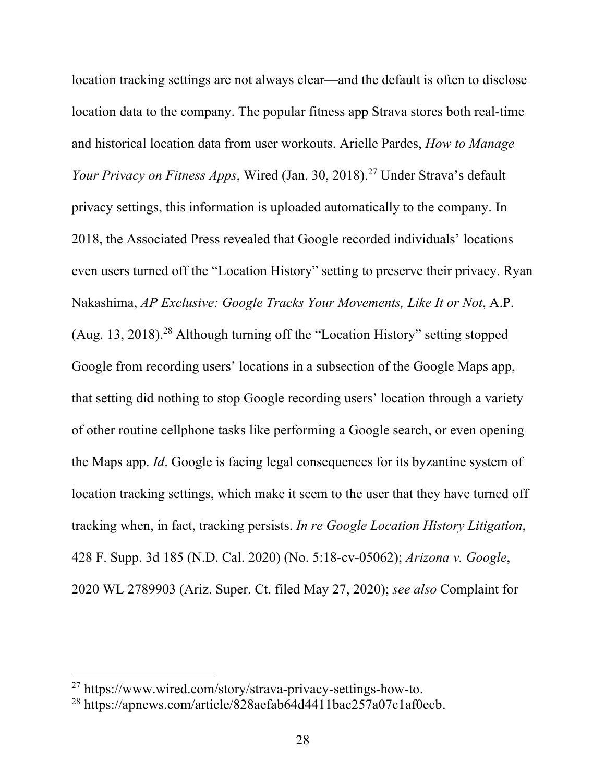location tracking settings are not always clear—and the default is often to disclose location data to the company. The popular fitness app Strava stores both real-time and historical location data from user workouts. Arielle Pardes, *How to Manage Your Privacy on Fitness Apps*, Wired (Jan. 30, 2018). <sup>27</sup> Under Strava's default privacy settings, this information is uploaded automatically to the company. In 2018, the Associated Press revealed that Google recorded individuals' locations even users turned off the "Location History" setting to preserve their privacy. Ryan Nakashima, *AP Exclusive: Google Tracks Your Movements, Like It or Not*, A.P. (Aug. 13, 2018). <sup>28</sup> Although turning off the "Location History" setting stopped Google from recording users' locations in a subsection of the Google Maps app, that setting did nothing to stop Google recording users' location through a variety of other routine cellphone tasks like performing a Google search, or even opening the Maps app. *Id*. Google is facing legal consequences for its byzantine system of location tracking settings, which make it seem to the user that they have turned off tracking when, in fact, tracking persists. *In re Google Location History Litigation*, 428 F. Supp. 3d 185 (N.D. Cal. 2020) (No. 5:18-cv-05062); *Arizona v. Google*, 2020 WL 2789903 (Ariz. Super. Ct. filed May 27, 2020); *see also* Complaint for

<sup>&</sup>lt;sup>27</sup> https://www.wired.com/story/strava-privacy-settings-how-to.<br><sup>28</sup> https://apnews.com/article/828aefab64d4411bac257a07c1af0ecb.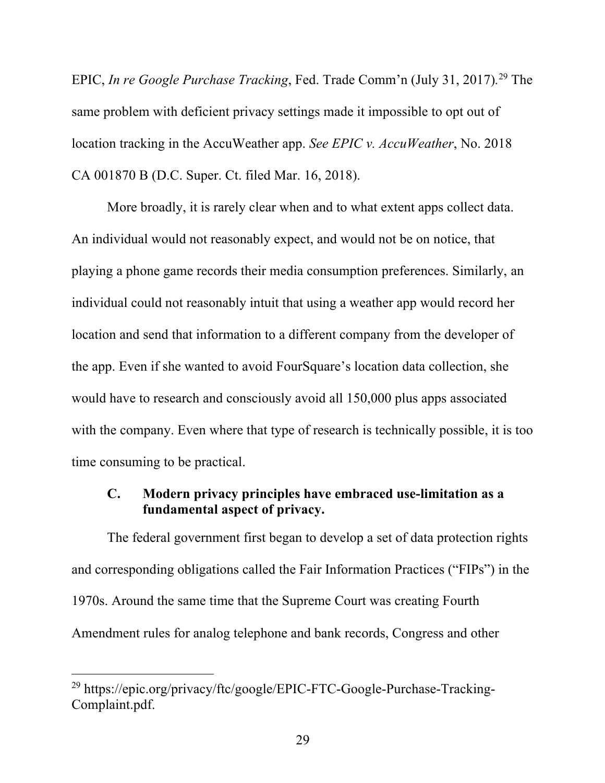EPIC, *In re Google Purchase Tracking*, Fed. Trade Comm'n (July 31, 2017)*.* <sup>29</sup> The same problem with deficient privacy settings made it impossible to opt out of location tracking in the AccuWeather app. *See EPIC v. AccuWeather*, No. 2018 CA 001870 B (D.C. Super. Ct. filed Mar. 16, 2018).

More broadly, it is rarely clear when and to what extent apps collect data. An individual would not reasonably expect, and would not be on notice, that playing a phone game records their media consumption preferences. Similarly, an individual could not reasonably intuit that using a weather app would record her location and send that information to a different company from the developer of the app. Even if she wanted to avoid FourSquare's location data collection, she would have to research and consciously avoid all 150,000 plus apps associated with the company. Even where that type of research is technically possible, it is too time consuming to be practical.

## **C. Modern privacy principles have embraced use-limitation as a fundamental aspect of privacy.**

The federal government first began to develop a set of data protection rights and corresponding obligations called the Fair Information Practices ("FIPs") in the 1970s. Around the same time that the Supreme Court was creating Fourth Amendment rules for analog telephone and bank records, Congress and other

<sup>29</sup> https://epic.org/privacy/ftc/google/EPIC-FTC-Google-Purchase-Tracking-Complaint.pdf.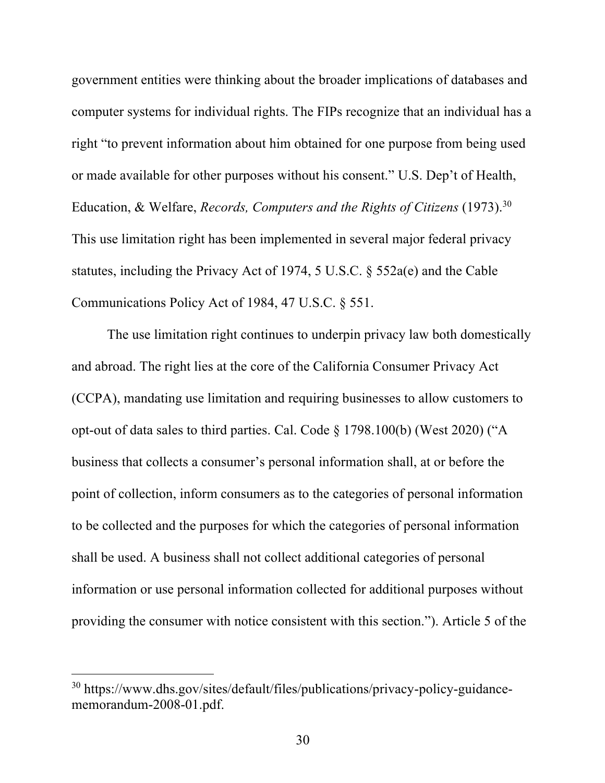government entities were thinking about the broader implications of databases and computer systems for individual rights. The FIPs recognize that an individual has a right "to prevent information about him obtained for one purpose from being used or made available for other purposes without his consent." U.S. Dep't of Health, Education, & Welfare, *Records, Computers and the Rights of Citizens* (1973). 30 This use limitation right has been implemented in several major federal privacy statutes, including the Privacy Act of 1974, 5 U.S.C. § 552a(e) and the Cable Communications Policy Act of 1984, 47 U.S.C. § 551.

The use limitation right continues to underpin privacy law both domestically and abroad. The right lies at the core of the California Consumer Privacy Act (CCPA), mandating use limitation and requiring businesses to allow customers to opt-out of data sales to third parties. Cal. Code § 1798.100(b) (West 2020) ("A business that collects a consumer's personal information shall, at or before the point of collection, inform consumers as to the categories of personal information to be collected and the purposes for which the categories of personal information shall be used. A business shall not collect additional categories of personal information or use personal information collected for additional purposes without providing the consumer with notice consistent with this section."). Article 5 of the

<sup>30</sup> https://www.dhs.gov/sites/default/files/publications/privacy-policy-guidancememorandum-2008-01.pdf.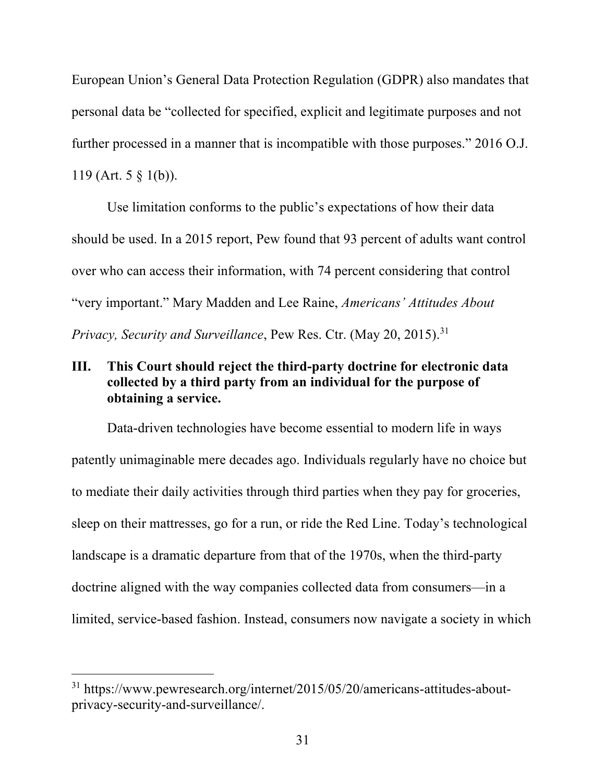European Union's General Data Protection Regulation (GDPR) also mandates that personal data be "collected for specified, explicit and legitimate purposes and not further processed in a manner that is incompatible with those purposes." 2016 O.J. 119 (Art. 5 § 1(b)).

Use limitation conforms to the public's expectations of how their data should be used. In a 2015 report, Pew found that 93 percent of adults want control over who can access their information, with 74 percent considering that control "very important." Mary Madden and Lee Raine, *Americans' Attitudes About Privacy, Security and Surveillance*, Pew Res. Ctr. (May 20, 2015). 31

## **III. This Court should reject the third-party doctrine for electronic data collected by a third party from an individual for the purpose of obtaining a service.**

Data-driven technologies have become essential to modern life in ways patently unimaginable mere decades ago. Individuals regularly have no choice but to mediate their daily activities through third parties when they pay for groceries, sleep on their mattresses, go for a run, or ride the Red Line. Today's technological landscape is a dramatic departure from that of the 1970s, when the third-party doctrine aligned with the way companies collected data from consumers—in a limited, service-based fashion. Instead, consumers now navigate a society in which

<sup>31</sup> https://www.pewresearch.org/internet/2015/05/20/americans-attitudes-aboutprivacy-security-and-surveillance/.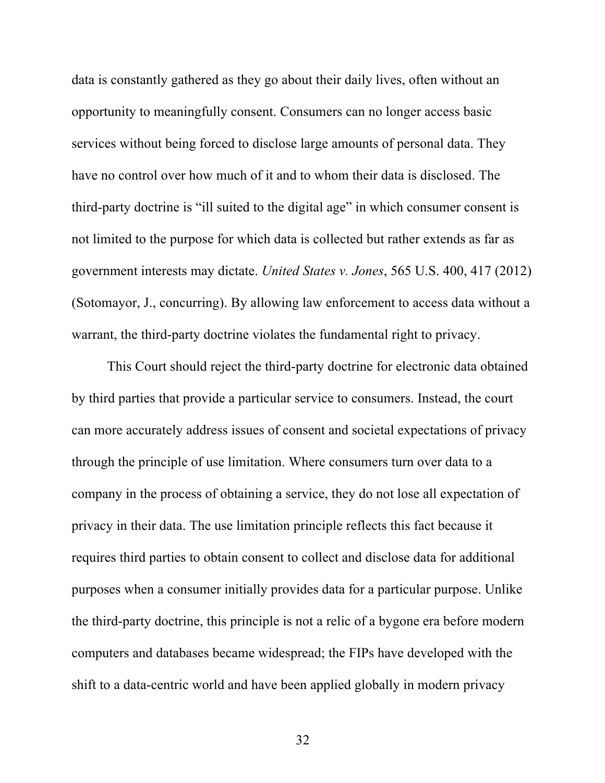data is constantly gathered as they go about their daily lives, often without an opportunity to meaningfully consent. Consumers can no longer access basic services without being forced to disclose large amounts of personal data. They have no control over how much of it and to whom their data is disclosed. The third-party doctrine is "ill suited to the digital age" in which consumer consent is not limited to the purpose for which data is collected but rather extends as far as government interests may dictate. *United States v. Jones*, 565 U.S. 400, 417 (2012) (Sotomayor, J., concurring). By allowing law enforcement to access data without a warrant, the third-party doctrine violates the fundamental right to privacy.

This Court should reject the third-party doctrine for electronic data obtained by third parties that provide a particular service to consumers. Instead, the court can more accurately address issues of consent and societal expectations of privacy through the principle of use limitation. Where consumers turn over data to a company in the process of obtaining a service, they do not lose all expectation of privacy in their data. The use limitation principle reflects this fact because it requires third parties to obtain consent to collect and disclose data for additional purposes when a consumer initially provides data for a particular purpose. Unlike the third-party doctrine, this principle is not a relic of a bygone era before modern computers and databases became widespread; the FIPs have developed with the shift to a data-centric world and have been applied globally in modern privacy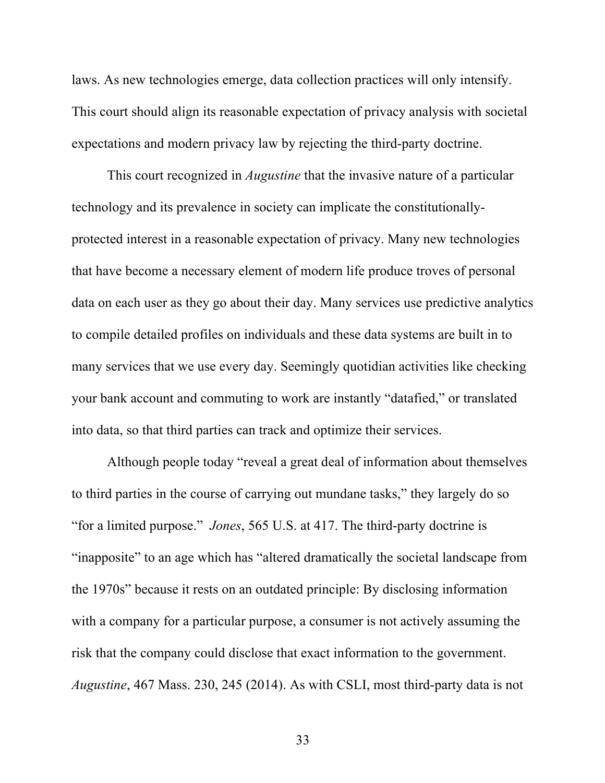laws. As new technologies emerge, data collection practices will only intensify. This court should align its reasonable expectation of privacy analysis with societal expectations and modern privacy law by rejecting the third-party doctrine.

This court recognized in *Augustine* that the invasive nature of a particular technology and its prevalence in society can implicate the constitutionallyprotected interest in a reasonable expectation of privacy. Many new technologies that have become a necessary element of modern life produce troves of personal data on each user as they go about their day. Many services use predictive analytics to compile detailed profiles on individuals and these data systems are built in to many services that we use every day. Seemingly quotidian activities like checking your bank account and commuting to work are instantly "datafied," or translated into data, so that third parties can track and optimize their services.

Although people today "reveal a great deal of information about themselves to third parties in the course of carrying out mundane tasks," they largely do so "for a limited purpose." *Jones*, 565 U.S. at 417. The third-party doctrine is "inapposite" to an age which has "altered dramatically the societal landscape from the 1970s" because it rests on an outdated principle: By disclosing information with a company for a particular purpose, a consumer is not actively assuming the risk that the company could disclose that exact information to the government. *Augustine*, 467 Mass. 230, 245 (2014). As with CSLI, most third-party data is not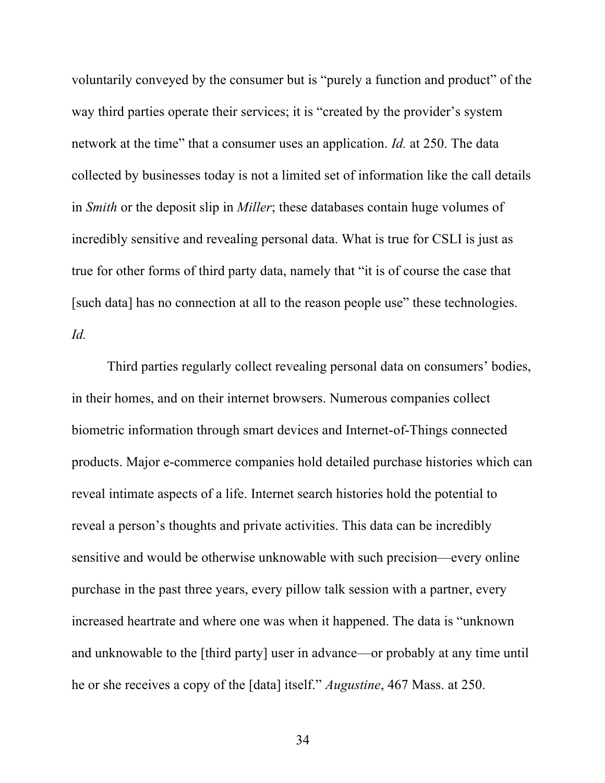voluntarily conveyed by the consumer but is "purely a function and product" of the way third parties operate their services; it is "created by the provider's system network at the time" that a consumer uses an application. *Id.* at 250. The data collected by businesses today is not a limited set of information like the call details in *Smith* or the deposit slip in *Miller*; these databases contain huge volumes of incredibly sensitive and revealing personal data. What is true for CSLI is just as true for other forms of third party data, namely that "it is of course the case that [such data] has no connection at all to the reason people use" these technologies. *Id.*

Third parties regularly collect revealing personal data on consumers' bodies, in their homes, and on their internet browsers. Numerous companies collect biometric information through smart devices and Internet-of-Things connected products. Major e-commerce companies hold detailed purchase histories which can reveal intimate aspects of a life. Internet search histories hold the potential to reveal a person's thoughts and private activities. This data can be incredibly sensitive and would be otherwise unknowable with such precision—every online purchase in the past three years, every pillow talk session with a partner, every increased heartrate and where one was when it happened. The data is "unknown and unknowable to the [third party] user in advance—or probably at any time until he or she receives a copy of the [data] itself." *Augustine*, 467 Mass. at 250.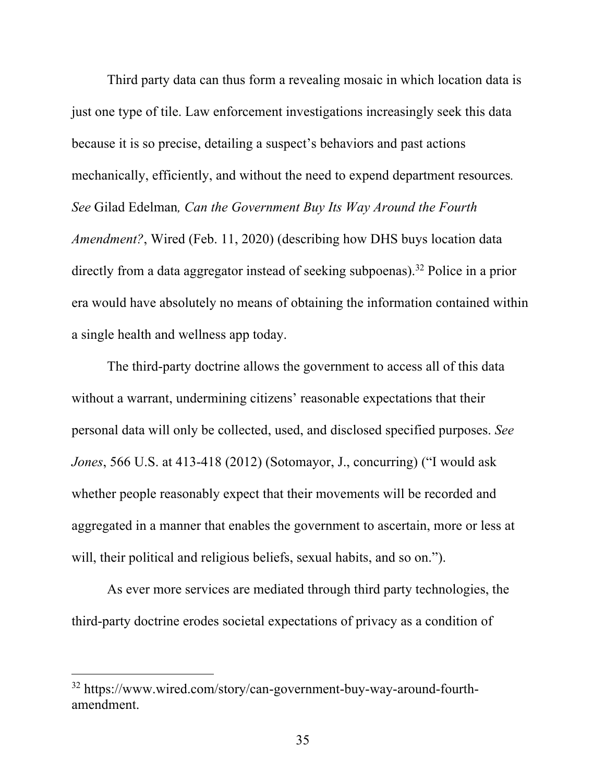Third party data can thus form a revealing mosaic in which location data is just one type of tile. Law enforcement investigations increasingly seek this data because it is so precise, detailing a suspect's behaviors and past actions mechanically, efficiently, and without the need to expend department resources*. See* Gilad Edelman*, Can the Government Buy Its Way Around the Fourth Amendment?*, Wired (Feb. 11, 2020) (describing how DHS buys location data directly from a data aggregator instead of seeking subpoenas).32 Police in a prior era would have absolutely no means of obtaining the information contained within a single health and wellness app today.

The third-party doctrine allows the government to access all of this data without a warrant, undermining citizens' reasonable expectations that their personal data will only be collected, used, and disclosed specified purposes. *See Jones*, 566 U.S. at 413-418 (2012) (Sotomayor, J., concurring) ("I would ask whether people reasonably expect that their movements will be recorded and aggregated in a manner that enables the government to ascertain, more or less at will, their political and religious beliefs, sexual habits, and so on.").

As ever more services are mediated through third party technologies, the third-party doctrine erodes societal expectations of privacy as a condition of

<sup>32</sup> https://www.wired.com/story/can-government-buy-way-around-fourthamendment.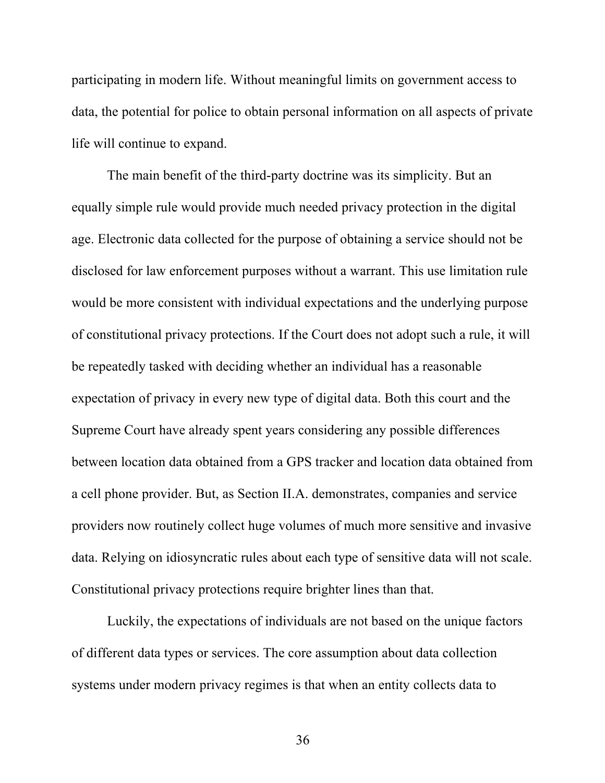participating in modern life. Without meaningful limits on government access to data, the potential for police to obtain personal information on all aspects of private life will continue to expand.

The main benefit of the third-party doctrine was its simplicity. But an equally simple rule would provide much needed privacy protection in the digital age. Electronic data collected for the purpose of obtaining a service should not be disclosed for law enforcement purposes without a warrant. This use limitation rule would be more consistent with individual expectations and the underlying purpose of constitutional privacy protections. If the Court does not adopt such a rule, it will be repeatedly tasked with deciding whether an individual has a reasonable expectation of privacy in every new type of digital data. Both this court and the Supreme Court have already spent years considering any possible differences between location data obtained from a GPS tracker and location data obtained from a cell phone provider. But, as Section II.A. demonstrates, companies and service providers now routinely collect huge volumes of much more sensitive and invasive data. Relying on idiosyncratic rules about each type of sensitive data will not scale. Constitutional privacy protections require brighter lines than that.

Luckily, the expectations of individuals are not based on the unique factors of different data types or services. The core assumption about data collection systems under modern privacy regimes is that when an entity collects data to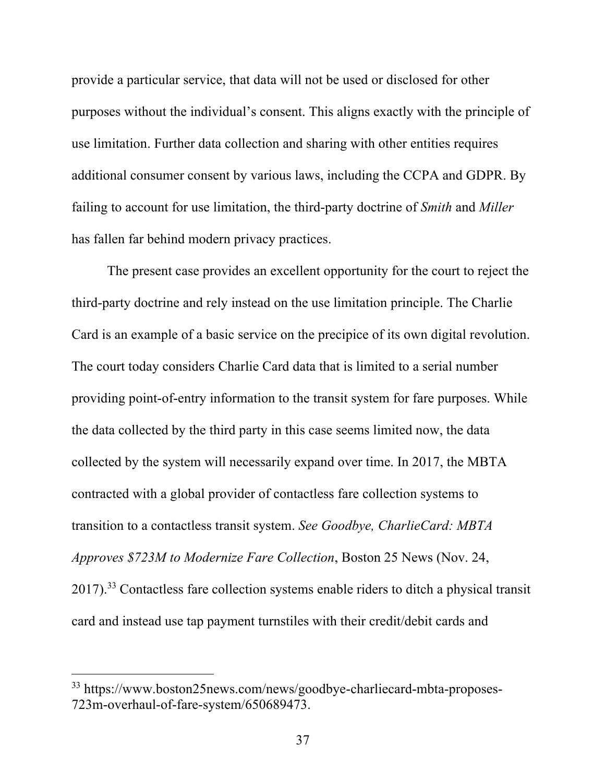provide a particular service, that data will not be used or disclosed for other purposes without the individual's consent. This aligns exactly with the principle of use limitation. Further data collection and sharing with other entities requires additional consumer consent by various laws, including the CCPA and GDPR. By failing to account for use limitation, the third-party doctrine of *Smith* and *Miller* has fallen far behind modern privacy practices.

The present case provides an excellent opportunity for the court to reject the third-party doctrine and rely instead on the use limitation principle. The Charlie Card is an example of a basic service on the precipice of its own digital revolution. The court today considers Charlie Card data that is limited to a serial number providing point-of-entry information to the transit system for fare purposes. While the data collected by the third party in this case seems limited now, the data collected by the system will necessarily expand over time. In 2017, the MBTA contracted with a global provider of contactless fare collection systems to transition to a contactless transit system. *See Goodbye, CharlieCard: MBTA Approves \$723M to Modernize Fare Collection*, Boston 25 News (Nov. 24,  $2017$ ).<sup>33</sup> Contactless fare collection systems enable riders to ditch a physical transit card and instead use tap payment turnstiles with their credit/debit cards and

<sup>33</sup> https://www.boston25news.com/news/goodbye-charliecard-mbta-proposes-723m-overhaul-of-fare-system/650689473.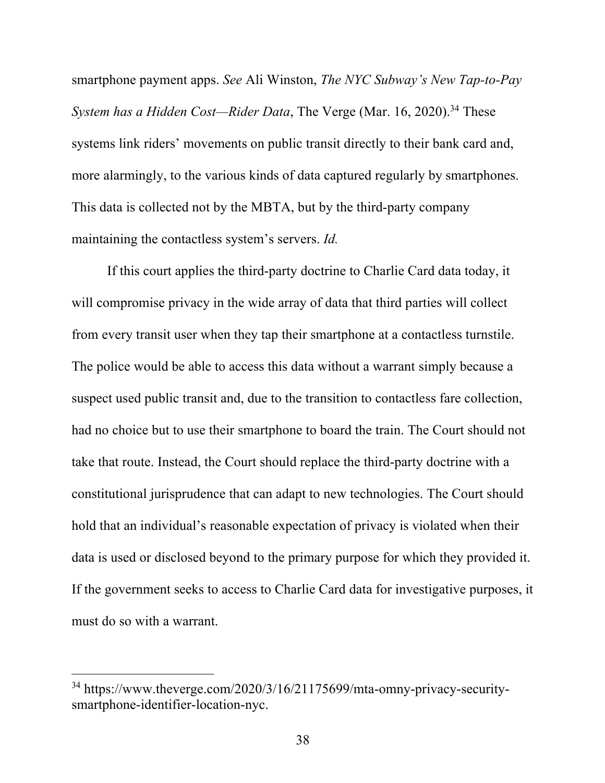smartphone payment apps. *See* Ali Winston, *The NYC Subway's New Tap-to-Pay System has a Hidden Cost—Rider Data*, The Verge (Mar. 16, 2020). <sup>34</sup> These systems link riders' movements on public transit directly to their bank card and, more alarmingly, to the various kinds of data captured regularly by smartphones. This data is collected not by the MBTA, but by the third-party company maintaining the contactless system's servers. *Id.*

If this court applies the third-party doctrine to Charlie Card data today, it will compromise privacy in the wide array of data that third parties will collect from every transit user when they tap their smartphone at a contactless turnstile. The police would be able to access this data without a warrant simply because a suspect used public transit and, due to the transition to contactless fare collection, had no choice but to use their smartphone to board the train. The Court should not take that route. Instead, the Court should replace the third-party doctrine with a constitutional jurisprudence that can adapt to new technologies. The Court should hold that an individual's reasonable expectation of privacy is violated when their data is used or disclosed beyond to the primary purpose for which they provided it. If the government seeks to access to Charlie Card data for investigative purposes, it must do so with a warrant.

<sup>34</sup> https://www.theverge.com/2020/3/16/21175699/mta-omny-privacy-securitysmartphone-identifier-location-nyc.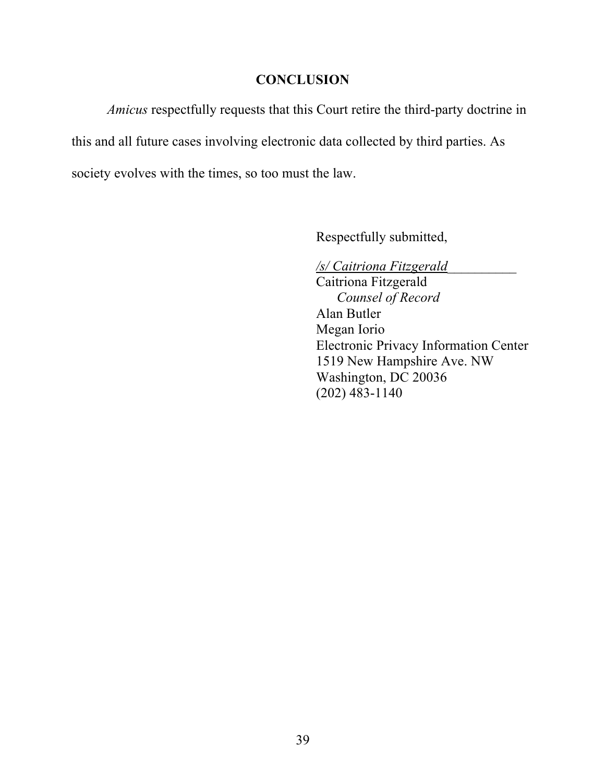## **CONCLUSION**

*Amicus* respectfully requests that this Court retire the third-party doctrine in this and all future cases involving electronic data collected by third parties. As society evolves with the times, so too must the law.

Respectfully submitted,

*/s/ Caitriona Fitzgerald*\_\_\_\_\_\_\_\_\_\_

Caitriona Fitzgerald *Counsel of Record* Alan Butler Megan Iorio Electronic Privacy Information Center 1519 New Hampshire Ave. NW Washington, DC 20036 (202) 483-1140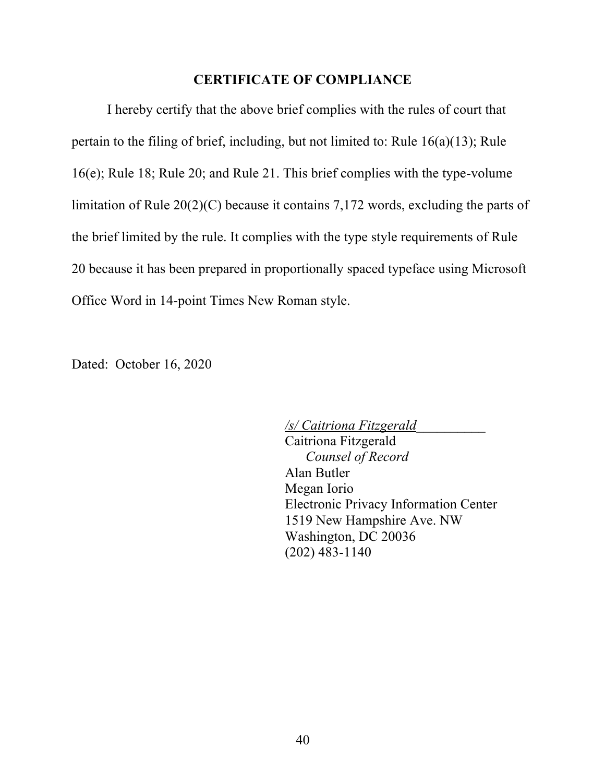#### **CERTIFICATE OF COMPLIANCE**

I hereby certify that the above brief complies with the rules of court that pertain to the filing of brief, including, but not limited to: Rule 16(a)(13); Rule 16(e); Rule 18; Rule 20; and Rule 21. This brief complies with the type-volume limitation of Rule 20(2)(C) because it contains 7,172 words, excluding the parts of the brief limited by the rule. It complies with the type style requirements of Rule 20 because it has been prepared in proportionally spaced typeface using Microsoft Office Word in 14-point Times New Roman style.

Dated: October 16, 2020

*/s/ Caitriona Fitzgerald*\_\_\_\_\_\_\_\_\_\_ Caitriona Fitzgerald *Counsel of Record* Alan Butler Megan Iorio Electronic Privacy Information Center 1519 New Hampshire Ave. NW Washington, DC 20036 (202) 483-1140